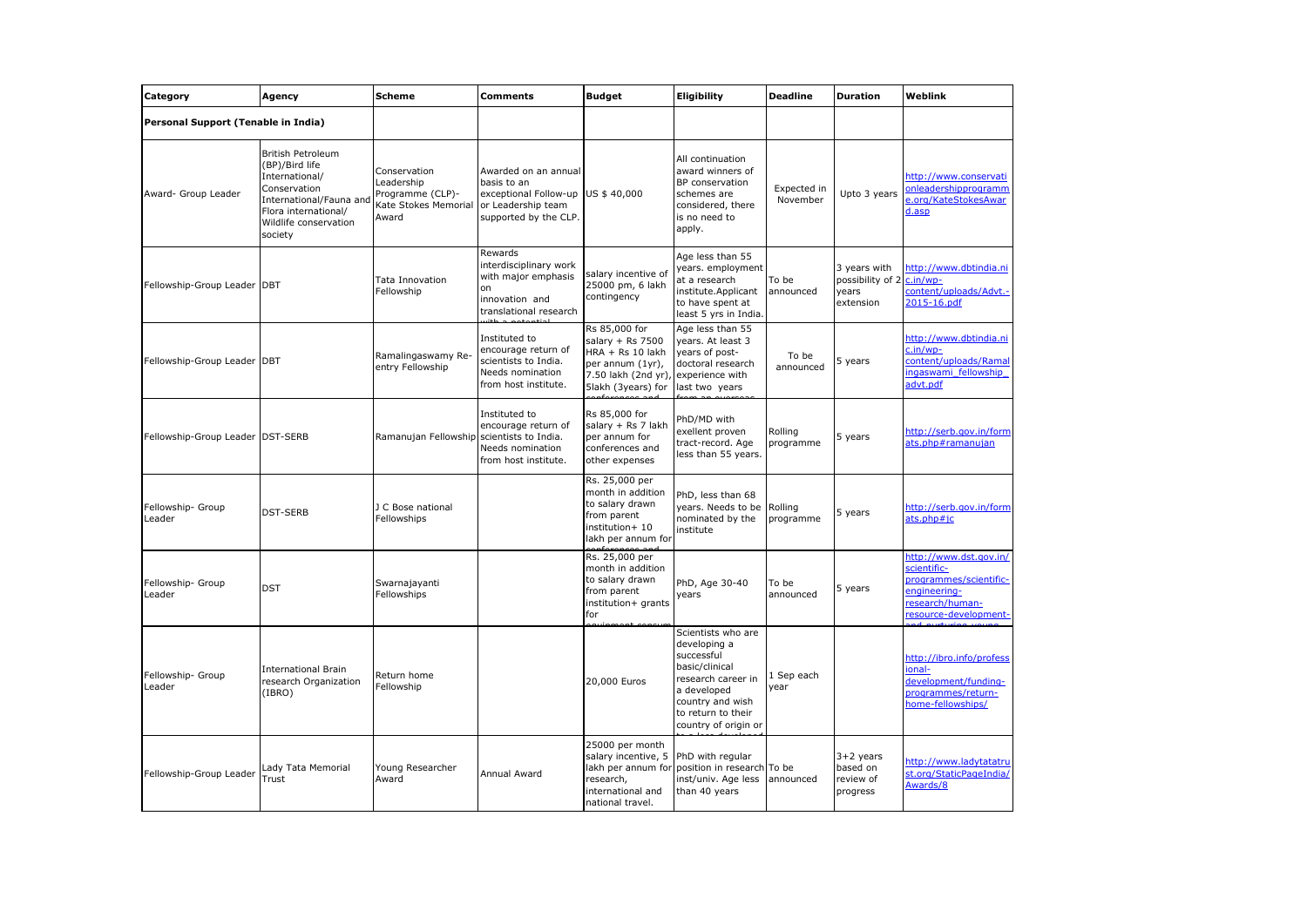| Category                            | Agency                                                                                                                                                       | <b>Scheme</b>                                                                   | Comments                                                                                                    | <b>Budget</b>                                                                                                                            | Eligibility                                                                                                                                                               | <b>Deadline</b>         | <b>Duration</b>                                                 | Weblink                                                                                                                     |
|-------------------------------------|--------------------------------------------------------------------------------------------------------------------------------------------------------------|---------------------------------------------------------------------------------|-------------------------------------------------------------------------------------------------------------|------------------------------------------------------------------------------------------------------------------------------------------|---------------------------------------------------------------------------------------------------------------------------------------------------------------------------|-------------------------|-----------------------------------------------------------------|-----------------------------------------------------------------------------------------------------------------------------|
| Personal Support (Tenable in India) |                                                                                                                                                              |                                                                                 |                                                                                                             |                                                                                                                                          |                                                                                                                                                                           |                         |                                                                 |                                                                                                                             |
| Award- Group Leader                 | British Petroleum<br>(BP)/Bird life<br>International/<br>Conservation<br>International/Fauna and<br>Flora international/<br>Wildlife conservation<br>society | Conservation<br>Leadership<br>Programme (CLP)-<br>Kate Stokes Memorial<br>Award | Awarded on an annual<br>basis to an<br>exceptional Follow-up<br>or Leadership team<br>supported by the CLP. | US \$40,000                                                                                                                              | All continuation<br>award winners of<br>BP conservation<br>schemes are<br>considered, there<br>is no need to<br>apply.                                                    | Expected in<br>November | Upto 3 years                                                    | http://www.conservati<br>onleadershipprogramm<br>e.org/KateStokesAwar<br>d.asp                                              |
| Fellowship-Group Leader DBT         |                                                                                                                                                              | Tata Innovation<br>Fellowship                                                   | Rewards<br>interdisciplinary work<br>with major emphasis<br>on<br>innovation and<br>translational research  | salary incentive of<br>25000 pm, 6 lakh<br>contingency                                                                                   | Age less than 55<br>years. employment<br>at a research<br>institute.Applicant<br>to have spent at<br>least 5 yrs in India.                                                | To be<br>announced      | 3 years with<br>possibility of 2 c.in/wp-<br>years<br>extension | http://www.dbtindia.ni<br>content/uploads/Advt.-<br>2015-16.pdf                                                             |
| Fellowship-Group Leader DBT         |                                                                                                                                                              | Ramalingaswamy Re-<br>entry Fellowship                                          | Instituted to<br>encourage return of<br>scientists to India.<br>Needs nomination<br>from host institute.    | Rs 85,000 for<br>salary $+$ Rs 7500<br>HRA + Rs 10 lakh<br>per annum (1yr),<br>7.50 lakh (2nd yr), experience with<br>5lakh (3years) for | Age less than 55<br>years. At least 3<br>years of post-<br>doctoral research<br>last two years                                                                            | To be<br>announced      | 5 years                                                         | http://www.dbtindia.ni<br>c.in/wp-<br>content/uploads/Ramal<br>ingaswami fellowship<br>advt.pdf                             |
| Fellowship-Group Leader DST-SERB    |                                                                                                                                                              | Ramanujan Fellowship scientists to India.                                       | Instituted to<br>encourage return of<br>Needs nomination<br>from host institute.                            | Rs 85,000 for<br>salary + Rs 7 lakh<br>per annum for<br>conferences and<br>other expenses                                                | PhD/MD with<br>exellent proven<br>tract-record. Age<br>less than 55 years.                                                                                                | Rolling<br>programme    | 5 years                                                         | http://serb.gov.in/form<br>ats.php#ramanujan                                                                                |
| Fellowship- Group<br>Leader         | <b>DST-SERB</b>                                                                                                                                              | J C Bose national<br>Fellowships                                                |                                                                                                             | Rs. 25,000 per<br>month in addition<br>to salary drawn<br>from parent<br>institution+ 10<br>lakh per annum for                           | PhD, less than 68<br>years. Needs to be Rolling<br>nominated by the<br>institute                                                                                          | programme               | 5 years                                                         | http://serb.gov.in/form<br>ats.php#jc                                                                                       |
| Fellowship- Group<br>Leader         | <b>DST</b>                                                                                                                                                   | Swarnajayanti<br>Fellowships                                                    |                                                                                                             | Rs. 25,000 per<br>month in addition<br>to salary drawn<br>from parent<br>institution+ grants<br>for                                      | PhD, Age 30-40<br>years                                                                                                                                                   | To be<br>announced      | 5 years                                                         | http://www.dst.gov.in/<br>scientific-<br>programmes/scientific-<br>engineering-<br>research/human-<br>resource-development- |
| Fellowship- Group<br>Leader         | <b>International Brain</b><br>research Organization<br>(IBRO)                                                                                                | Return home<br>Fellowship                                                       |                                                                                                             | 20,000 Euros                                                                                                                             | Scientists who are<br>developing a<br>successful<br>basic/clinical<br>research career in<br>a developed<br>country and wish<br>to return to their<br>country of origin or | 1 Sep each<br>year      |                                                                 | http://ibro.info/profess<br>ional-<br>development/funding-<br>programmes/return-<br>home-fellowships/                       |
| Fellowship-Group Leader             | Lady Tata Memorial<br>Trust                                                                                                                                  | Young Researcher<br>Award                                                       | Annual Award                                                                                                | 25000 per month<br>salary incentive, 5 PhD with regular<br>research,<br>international and<br>national travel.                            | lakh per annum for position in research To be<br>inst/univ. Age less<br>than 40 years                                                                                     | announced               | $3+2$ years<br>based on<br>review of<br>progress                | http://www.ladytatatru<br>st.org/StaticPageIndia/<br>Awards/8                                                               |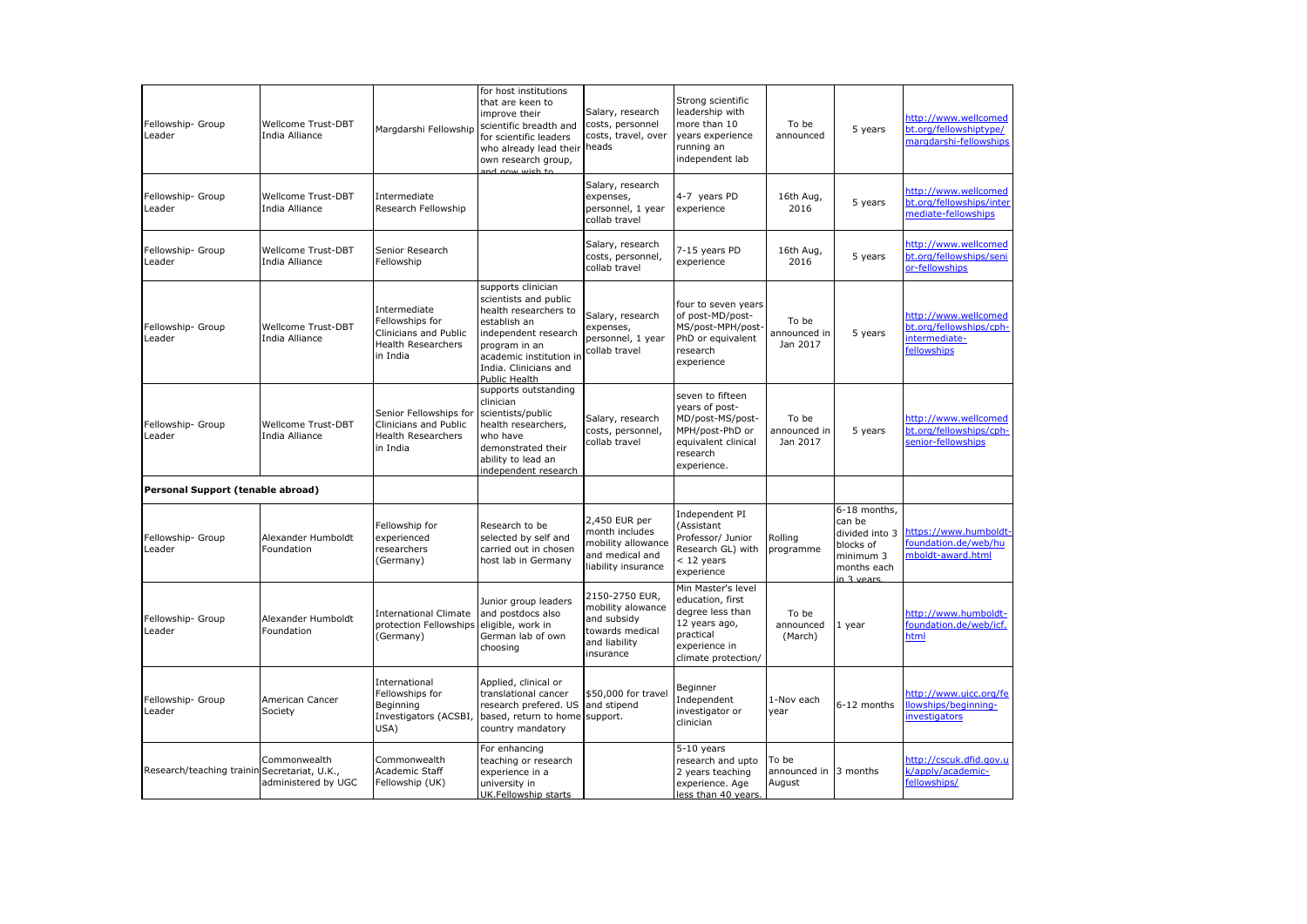| Fellowship- Group<br>Leader       | <b>Wellcome Trust-DBT</b><br>India Alliance               | Margdarshi Fellowship                                                                             | for host institutions<br>that are keen to<br>improve their<br>scientific breadth and<br>for scientific leaders<br>who already lead their<br>own research group,<br>and now wish to                        | Salary, research<br>costs, personnel<br>costs, travel, over<br>heads                                | Strong scientific<br>leadership with<br>more than 10<br>years experience<br>running an<br>independent lab                        | To be<br>announced                | 5 years                                                                                         | http://www.wellcomed<br>bt.org/fellowshiptype/<br>margdarshi-fellowships        |
|-----------------------------------|-----------------------------------------------------------|---------------------------------------------------------------------------------------------------|-----------------------------------------------------------------------------------------------------------------------------------------------------------------------------------------------------------|-----------------------------------------------------------------------------------------------------|----------------------------------------------------------------------------------------------------------------------------------|-----------------------------------|-------------------------------------------------------------------------------------------------|---------------------------------------------------------------------------------|
| Fellowship- Group<br>Leader       | Wellcome Trust-DBT<br>India Alliance                      | Intermediate<br>Research Fellowship                                                               |                                                                                                                                                                                                           | Salary, research<br>expenses,<br>personnel, 1 year<br>collab travel                                 | 4-7 years PD<br>experience                                                                                                       | 16th Aug,<br>2016                 | 5 years                                                                                         | http://www.wellcomed<br>bt.org/fellowships/inter<br>mediate-fellowships         |
| Fellowship- Group<br>Leader       | <b>Wellcome Trust-DBT</b><br>India Alliance               | Senior Research<br>Fellowship                                                                     |                                                                                                                                                                                                           | Salary, research<br>costs, personnel,<br>collab travel                                              | 7-15 years PD<br>experience                                                                                                      | 16th Aug,<br>2016                 | 5 years                                                                                         | http://www.wellcomed<br>bt.org/fellowships/seni<br>or-fellowships               |
| Fellowship- Group<br>Leader       | Wellcome Trust-DBT<br>India Alliance                      | Intermediate<br>Fellowships for<br>Clinicians and Public<br><b>Health Researchers</b><br>in India | supports clinician<br>scientists and public<br>health researchers to<br>establish an<br>independent research<br>program in an<br>academic institution in<br>India. Clinicians and<br><b>Public Health</b> | Salary, research<br>expenses,<br>personnel, 1 year<br>collab travel                                 | four to seven years<br>of post-MD/post-<br>MS/post-MPH/post<br>PhD or equivalent<br>research<br>experience                       | To be<br>announced in<br>Jan 2017 | 5 years                                                                                         | http://www.wellcomed<br>bt.org/fellowships/cph-<br>intermediate-<br>fellowships |
| Fellowship- Group<br>Leader       | Wellcome Trust-DBT<br>India Alliance                      | Senior Fellowships for<br>Clinicians and Public<br><b>Health Researchers</b><br>in India          | supports outstanding<br>clinician<br>scientists/public<br>health researchers,<br>who have<br>demonstrated their<br>ability to lead an<br>independent research                                             | Salary, research<br>costs, personnel,<br>collab travel                                              | seven to fifteen<br>years of post-<br>MD/post-MS/post-<br>MPH/post-PhD or<br>equivalent clinical<br>research<br>experience.      | To be<br>announced in<br>Jan 2017 | 5 years                                                                                         | http://www.wellcomed<br>bt.org/fellowships/cph-<br>senior-fellowships           |
| Personal Support (tenable abroad) |                                                           |                                                                                                   |                                                                                                                                                                                                           |                                                                                                     |                                                                                                                                  |                                   |                                                                                                 |                                                                                 |
| Fellowship- Group<br>Leader       | Alexander Humboldt<br>Foundation                          | Fellowship for<br>experienced<br>researchers<br>(Germany)                                         | Research to be<br>selected by self and<br>carried out in chosen<br>host lab in Germany                                                                                                                    | 2,450 EUR per<br>month includes<br>mobility allowance<br>and medical and<br>liability insurance     | Independent PI<br>(Assistant<br>Professor/ Junior<br>Research GL) with<br>< 12 years<br>experience                               | Rolling<br>programme              | 6-18 months,<br>can be<br>divided into 3<br>blocks of<br>minimum 3<br>months each<br>in 3 vears | https://www.humboldt-<br>foundation.de/web/hu<br>mboldt-award.html              |
| Fellowship- Group<br>Leader       | Alexander Humboldt<br>Foundation                          | <b>International Climate</b><br>protection Fellowships<br>(Germany)                               | Junior group leaders<br>and postdocs also<br>eligible, work in<br>German lab of own<br>choosing                                                                                                           | 2150-2750 EUR.<br>mobility alowance<br>and subsidy<br>towards medical<br>and liability<br>insurance | Min Master's level<br>education, first<br>degree less than<br>12 years ago,<br>practical<br>experience in<br>climate protection/ | To be<br>announced<br>(March)     | 1 year                                                                                          | http://www.humboldt-<br>foundation.de/web/icf.<br>html                          |
| Fellowship- Group<br>Leader       | American Cancer<br>Society                                | International<br>Fellowships for<br>Beginning<br>Investigators (ACSBI,<br>USA)                    | Applied, clinical or<br>translational cancer<br>research prefered. US<br>based, return to home<br>country mandatory                                                                                       | \$50,000 for travel<br>and stipend<br>support.                                                      | Beginner<br>Independent<br>investigator or<br>clinician                                                                          | 1-Nov each<br>year                | 6-12 months                                                                                     | http://www.uicc.org/fe<br>llowships/beginning-<br>investigators                 |
| Research/teaching trainin         | Commonwealth<br>Secretariat, U.K.,<br>administered by UGC | Commonwealth<br>Academic Staff<br>Fellowship (UK)                                                 | For enhancing<br>teaching or research<br>experience in a<br>university in<br>UK.Fellowshin starts                                                                                                         |                                                                                                     | $5-10$ years<br>research and upto<br>2 years teaching<br>experience. Age<br>less than 40 years.                                  | To be<br>announced in<br>August   | 3 months                                                                                        | http://cscuk.dfid.gov.u<br>k/apply/academic-<br>fellowships/                    |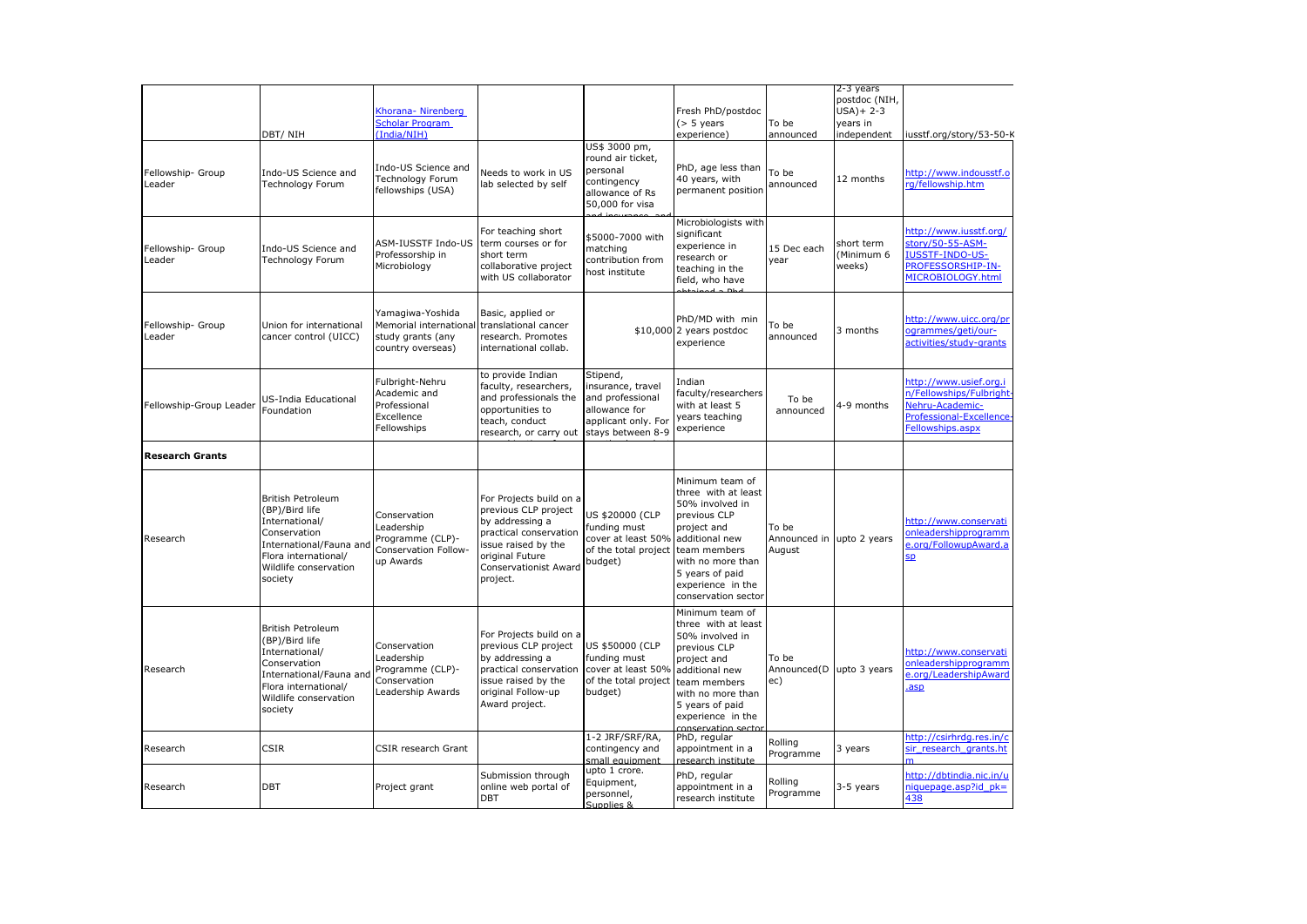|                             |                                                                                                                                                                     |                                                                                      |                                                                                                                                                                             |                                                                                                                |                                                                                                                                                                                                               |                                              | 2-3 years                          |                                                                                                                     |
|-----------------------------|---------------------------------------------------------------------------------------------------------------------------------------------------------------------|--------------------------------------------------------------------------------------|-----------------------------------------------------------------------------------------------------------------------------------------------------------------------------|----------------------------------------------------------------------------------------------------------------|---------------------------------------------------------------------------------------------------------------------------------------------------------------------------------------------------------------|----------------------------------------------|------------------------------------|---------------------------------------------------------------------------------------------------------------------|
|                             |                                                                                                                                                                     | Khorana- Nirenberg                                                                   |                                                                                                                                                                             |                                                                                                                | Fresh PhD/postdoc                                                                                                                                                                                             |                                              | postdoc (NIH,<br>$USA$ ) + 2-3     |                                                                                                                     |
|                             |                                                                                                                                                                     | <b>Scholar Program</b>                                                               |                                                                                                                                                                             |                                                                                                                | $($ > 5 years                                                                                                                                                                                                 | To be                                        | years in                           |                                                                                                                     |
|                             | DBT/NIH                                                                                                                                                             | (India/NIH)                                                                          |                                                                                                                                                                             |                                                                                                                | experience)                                                                                                                                                                                                   | announced                                    | independent                        | iusstf.org/story/53-50-K                                                                                            |
| Fellowship- Group<br>Leader | Indo-US Science and<br>Technology Forum                                                                                                                             | Indo-US Science and<br>Technology Forum<br>fellowships (USA)                         | Veeds to work in US<br>lab selected by self                                                                                                                                 | US\$ 3000 pm,<br>round air ticket,<br>personal<br>contingency<br>allowance of Rs<br>50,000 for visa            | PhD, age less than<br>40 years, with<br>permanent position                                                                                                                                                    | To be<br>announced                           | 12 months                          | http://www.indousstf.o<br>rg/fellowship.htm                                                                         |
| Fellowship- Group<br>Leader | Indo-US Science and<br>Technology Forum                                                                                                                             | ASM-IUSSTF Indo-US<br>Professorship in<br>Microbiology                               | For teaching short<br>term courses or for<br>short term<br>collaborative project<br>with US collaborator                                                                    | \$5000-7000 with<br>matching<br>contribution from<br>host institute                                            | Microbiologists with<br>significant<br>experience in<br>research or<br>teaching in the<br>field, who have                                                                                                     | 15 Dec each<br>year                          | short term<br>(Minimum 6<br>weeks) | http://www.iusstf.org/<br>story/50-55-ASM-<br><b>IUSSTF-INDO-US-</b><br>PROFESSORSHIP-IN-<br>MICROBIOLOGY.html      |
| Fellowship- Group<br>Leader | Union for international<br>cancer control (UICC)                                                                                                                    | Yamagiwa-Yoshida<br>Memorial international<br>study grants (any<br>country overseas) | Basic, applied or<br>translational cancer<br>research. Promotes<br>international collab.                                                                                    |                                                                                                                | PhD/MD with min<br>\$10,000 2 years postdoc<br>experience                                                                                                                                                     | To be<br>announced                           | 3 months                           | http://www.uicc.org/pr<br>ogrammes/geti/our-<br>activities/study-grants                                             |
| Fellowship-Group Leader     | US-India Educational<br>Foundation                                                                                                                                  | Fulbright-Nehru<br>Academic and<br>Professional<br>Excellence<br>Fellowships         | to provide Indian<br>faculty, researchers,<br>and professionals the<br>opportunities to<br>teach, conduct<br>research, or carry out                                         | Stipend,<br>insurance, travel<br>and professional<br>allowance for<br>applicant only. For<br>stays between 8-9 | Indian<br>faculty/researchers<br>with at least 5<br>years teaching<br>experience                                                                                                                              | To be<br>announced                           | 4-9 months                         | http://www.usief.org.i<br>n/Fellowships/Fulbright<br>Nehru-Academic-<br>Professional-Excellence<br>Fellowships.aspx |
| <b>Research Grants</b>      |                                                                                                                                                                     |                                                                                      |                                                                                                                                                                             |                                                                                                                |                                                                                                                                                                                                               |                                              |                                    |                                                                                                                     |
| Research                    | <b>British Petroleum</b><br>(BP)/Bird life<br>International/<br>Conservation<br>International/Fauna ar<br>Flora international/<br>Wildlife conservation<br>society  | Conservation<br>Leadership<br>Programme (CLP)-<br>Conservation Follow-<br>up Awards  | For Projects build on a<br>previous CLP project<br>by addressing a<br>practical conservation<br>issue raised by the<br>original Future<br>Conservationist Award<br>project. | US \$20000 (CLP<br>funding must<br>cover at least 50%<br>of the total project team members<br>budget)          | Minimum team of<br>three with at least<br>50% involved in<br>previous CLP<br>project and<br>additional new<br>with no more than<br>5 years of paid<br>experience in the<br>conservation secto                 | To be<br>Announced in upto 2 years<br>August |                                    | http://www.conservati<br>onleadershipprogramm<br>e.org/FollowupAward.a<br>SD <sub>.</sub>                           |
| Research                    | <b>British Petroleum</b><br>(BP)/Bird life<br>International/<br>Conservation<br>International/Fauna and<br>Flora international/<br>Wildlife conservation<br>society | Conservation<br>Leadership<br>Programme (CLP)-<br>Conservation<br>Leadership Awards  | For Projects build on a<br>previous CLP project<br>by addressing a<br>practical conservation<br>issue raised by the<br>original Follow-up<br>Award project.                 | US \$50000 (CLP<br>funding must<br>cover at least 50%<br>of the total project<br>budget)                       | Minimum team of<br>three with at least<br>50% involved in<br>previous CLP<br>project and<br>additional new<br>team members<br>with no more than<br>5 years of paid<br>experience in the<br>conservation secto | To be<br>Announced(D upto 3 years<br>ec)     |                                    | http://www.conservati<br>onleadershipprogramm<br>e.org/LeadershipAward<br>.asp                                      |
| Research                    | <b>CSIR</b>                                                                                                                                                         | CSIR research Grant                                                                  |                                                                                                                                                                             | 1-2 JRF/SRF/RA,<br>contingency and<br>small equipment                                                          | PhD, regular<br>appointment in a<br>research institute                                                                                                                                                        | Rolling<br>Programme                         | 3 years                            | http://csirhrdg.res.in/c<br>sir research grants.ht                                                                  |
| Research                    | <b>DBT</b>                                                                                                                                                          | Project grant                                                                        | Submission through<br>online web portal of<br><b>DBT</b>                                                                                                                    | upto 1 crore.<br>Equipment,<br>personnel,<br>Supplies &                                                        | PhD, regular<br>appointment in a<br>research institute                                                                                                                                                        | Rolling<br>Programme                         | 3-5 years                          | http://dbtindia.nic.in/u<br>$niquepage.asp?id pk=$<br>438                                                           |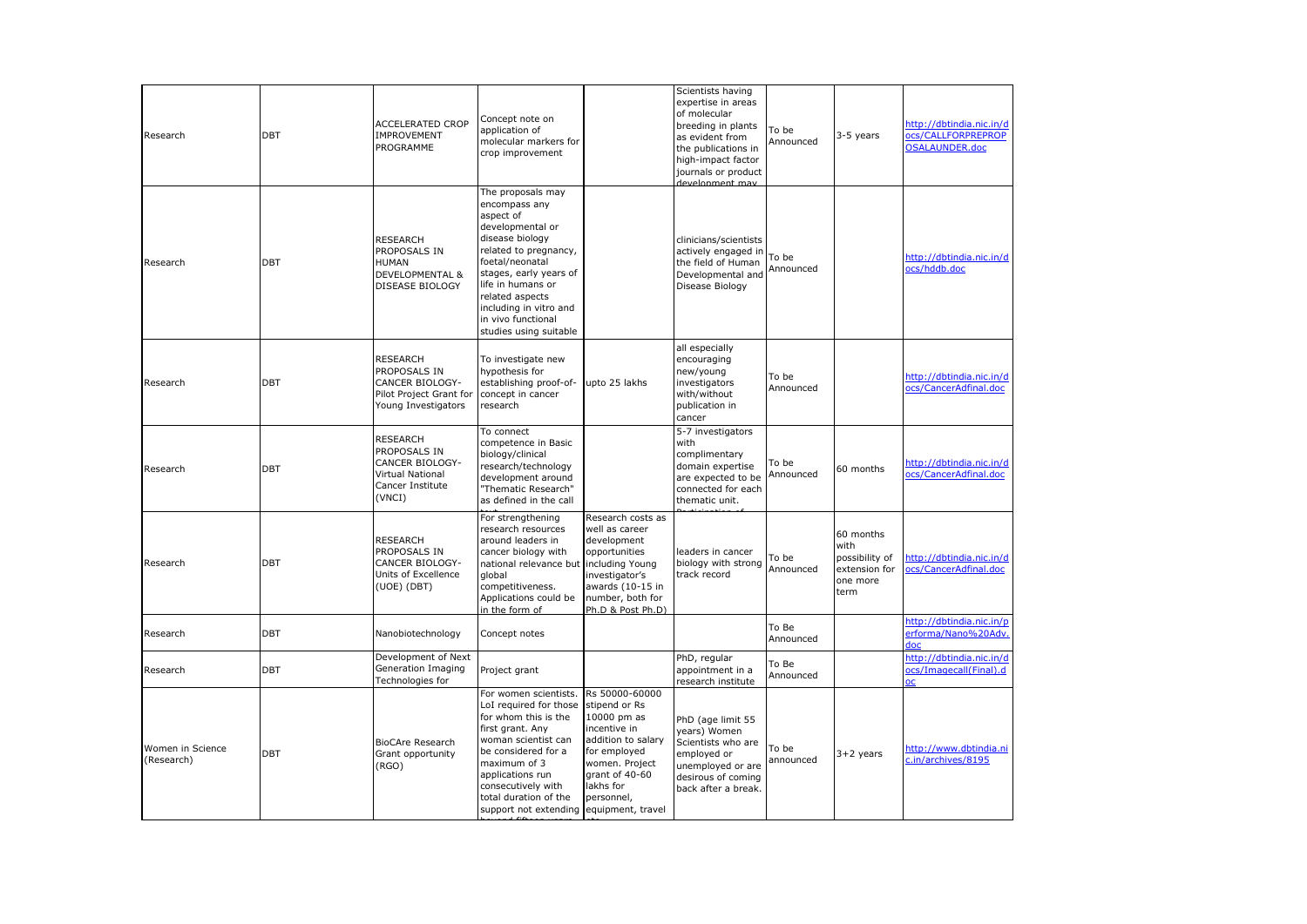| Research                       | <b>DBT</b> | <b>ACCELERATED CROP</b><br><b>IMPROVEMENT</b><br>PROGRAMME                                                  | Concept note on<br>application of<br>molecular markers for<br>crop improvement                                                                                                                                                                                                 |                                                                                                                                                                       | Scientists having<br>expertise in areas<br>of molecular<br>breeding in plants<br>as evident from<br>the publications in<br>high-impact factor<br>journals or product<br>development may | To be<br>Announced | 3-5 years                                                                | http://dbtindia.nic.in/d<br>ocs/CALLFORPREPROP<br><b>OSALAUNDER.doc</b> |
|--------------------------------|------------|-------------------------------------------------------------------------------------------------------------|--------------------------------------------------------------------------------------------------------------------------------------------------------------------------------------------------------------------------------------------------------------------------------|-----------------------------------------------------------------------------------------------------------------------------------------------------------------------|-----------------------------------------------------------------------------------------------------------------------------------------------------------------------------------------|--------------------|--------------------------------------------------------------------------|-------------------------------------------------------------------------|
| Research                       | DBT        | <b>RESEARCH</b><br>PROPOSALS IN<br><b>HUMAN</b><br><b>DEVELOPMENTAL &amp;</b><br>DISEASE BIOLOGY            | The proposals may<br>encompass any<br>aspect of<br>developmental or<br>disease biology<br>related to pregnancy,<br>foetal/neonatal<br>stages, early years of<br>life in humans or<br>related aspects<br>including in vitro and<br>in vivo functional<br>studies using suitable |                                                                                                                                                                       | clinicians/scientists<br>actively engaged in<br>the field of Human<br>Developmental and<br>Disease Biology                                                                              | To be<br>Announced |                                                                          | http://dbtindia.nic.in/d<br>ocs/hddb.doc                                |
| Research                       | <b>DBT</b> | <b>RESEARCH</b><br>PROPOSALS IN<br>CANCER BIOLOGY-<br>Pilot Project Grant for<br>Young Investigators        | To investigate new<br>hypothesis for<br>establishing proof-of-<br>concept in cancer<br>research                                                                                                                                                                                | upto 25 lakhs                                                                                                                                                         | all especially<br>encouraging<br>new/young<br>investigators<br>with/without<br>publication in<br>cancer                                                                                 | To be<br>Announced |                                                                          | http://dbtindia.nic.in/d<br>ocs/CancerAdfinal.doc                       |
| Research                       | <b>DBT</b> | <b>RESEARCH</b><br>PROPOSALS IN<br>CANCER BIOLOGY-<br><b>Virtual National</b><br>Cancer Institute<br>(VNCI) | To connect<br>competence in Basic<br>biology/clinical<br>research/technology<br>development around<br>'Thematic Research"<br>as defined in the call                                                                                                                            |                                                                                                                                                                       | 5-7 investigators<br>with<br>complimentary<br>domain expertise<br>are expected to be<br>connected for each<br>thematic unit.                                                            | To be<br>Announced | 60 months                                                                | http://dbtindia.nic.in/d<br>ocs/CancerAdfinal.doc                       |
| Research                       | <b>DBT</b> | <b>RESEARCH</b><br>PROPOSALS IN<br>CANCER BIOLOGY-<br>Units of Excellence<br>(UOE) (DBT)                    | For strengthening<br>research resources<br>around leaders in<br>cancer biology with<br>national relevance but<br>global<br>competitiveness.<br>Applications could be<br>in the form of                                                                                         | Research costs as<br>well as career<br>development<br>opportunities<br>including Young<br>investigator's<br>awards (10-15 in<br>number, both for<br>Ph.D & Post Ph.D) | leaders in cancer<br>biology with strong<br>track record                                                                                                                                | To be<br>Announced | 60 months<br>with<br>possibility of<br>extension for<br>one more<br>term | http://dbtindia.nic.in/d<br>ocs/CancerAdfinal.doc                       |
| Research                       | DBT        | Nanobiotechnology                                                                                           | Concept notes                                                                                                                                                                                                                                                                  |                                                                                                                                                                       |                                                                                                                                                                                         | To Be<br>Announced |                                                                          | http://dbtindia.nic.in/p<br>erforma/Nano%20Adv.<br>doc                  |
| Research                       | <b>DBT</b> | Development of Next<br>Generation Imaging<br>Technologies for                                               | Project grant                                                                                                                                                                                                                                                                  |                                                                                                                                                                       | PhD, regular<br>appointment in a<br>research institute                                                                                                                                  | To Be<br>Announced |                                                                          | http://dbtindia.nic.in/d<br>ocs/Imagecall(Final).d<br><b>OC</b>         |
| Women in Science<br>(Research) | <b>DBT</b> | <b>BioCAre Research</b><br>Grant opportunity<br>(RGO)                                                       | For women scientists.<br>LoI required for those<br>for whom this is the<br>first grant. Any<br>woman scientist can<br>be considered for a<br>maximum of 3<br>applications run<br>consecutively with<br>total duration of the<br>support not extending equipment, travel        | Rs 50000-60000<br>stipend or Rs<br>10000 pm as<br>incentive in<br>addition to salary<br>for employed<br>women. Project<br>grant of 40-60<br>akhs for<br>personnel,    | PhD (age limit 55<br>years) Women<br>Scientists who are<br>employed or<br>unemployed or are<br>desirous of coming<br>back after a break.                                                | To be<br>announced | $3+2$ years                                                              | http://www.dbtindia.ni<br>c.in/archives/8195                            |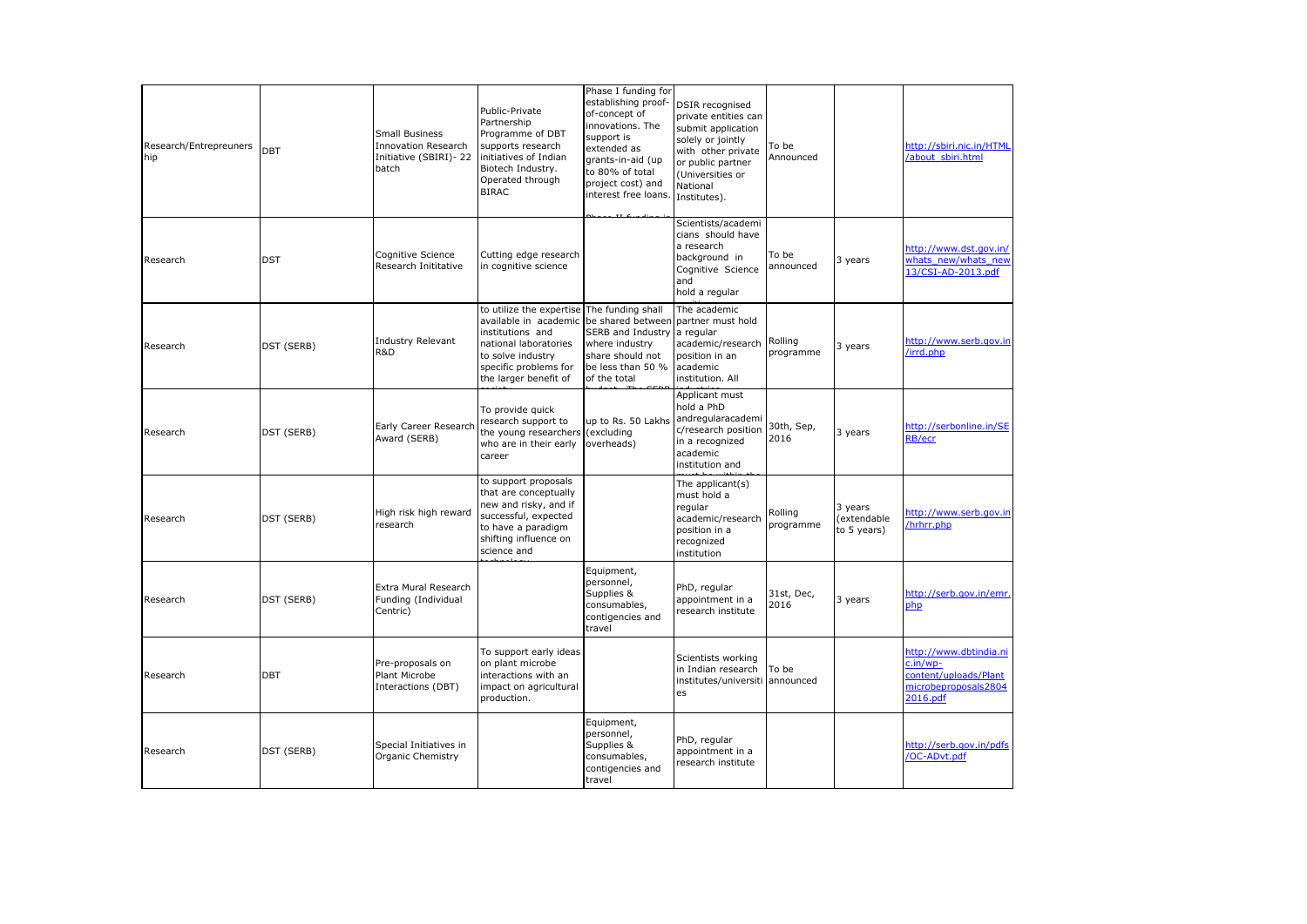| Research/Entrepreuners<br>hip | DBT        | <b>Small Business</b><br><b>Innovation Research</b><br>Initiative (SBIRI)-22<br>batch | Public-Private<br>Partnership<br>Programme of DBT<br>supports research<br>initiatives of Indian<br>Biotech Industry.<br>Operated through<br><b>BIRAC</b>              | Phase I funding for<br>establishing proof-<br>of-concept of<br>innovations. The<br>support is<br>extended as<br>grants-in-aid (up<br>to 80% of total<br>project cost) and<br>interest free loans. | <b>DSIR</b> recognised<br>private entities can<br>submit application<br>solely or jointly<br>with other private<br>or public partner<br>(Universities or<br>National<br>Institutes). | To be<br>Announced   |                                      | http://sbiri.nic.in/HTML<br>/about sbiri.html                                                     |
|-------------------------------|------------|---------------------------------------------------------------------------------------|-----------------------------------------------------------------------------------------------------------------------------------------------------------------------|---------------------------------------------------------------------------------------------------------------------------------------------------------------------------------------------------|--------------------------------------------------------------------------------------------------------------------------------------------------------------------------------------|----------------------|--------------------------------------|---------------------------------------------------------------------------------------------------|
| Research                      | <b>DST</b> | Cognitive Science<br>Research Inititative                                             | Cutting edge research<br>in cognitive science                                                                                                                         |                                                                                                                                                                                                   | Scientists/academi<br>cians should have<br>a research<br>background in<br>Cognitive Science<br>and<br>hold a regular                                                                 | To be<br>announced   | 3 years                              | http://www.dst.gov.in/<br>whats new/whats new<br>13/CSI-AD-2013.pdf                               |
| Research                      | DST (SERB) | <b>Industry Relevant</b><br>R&D                                                       | to utilize the expertise<br>available in academic<br>institutions and<br>national laboratories<br>to solve industry<br>specific problems for<br>the larger benefit of | The funding shall<br>be shared between<br>SERB and Industry a regular<br>where industry<br>share should not<br>be less than 50 %<br>of the total                                                  | The academic<br>partner must hold<br>academic/research<br>position in an<br>academic<br>institution. All                                                                             | Rolling<br>programme | 3 years                              | http://www.serb.gov.in<br>/irrd.php                                                               |
| Research                      | DST (SERB) | Early Career Research<br>Award (SERB)                                                 | To provide quick<br>research support to<br>the young researchers<br>who are in their early<br>career                                                                  | up to Rs. 50 Lakhs<br>(excluding<br>overheads)                                                                                                                                                    | Applicant must<br>hold a PhD<br>andregularacademi<br>c/research position<br>in a recognized<br>academic<br>institution and                                                           | 30th, Sep,<br>2016   | 3 years                              | http://serbonline.in/SE<br><b>RB/ecr</b>                                                          |
| Research                      | DST (SERB) | High risk high reward<br>research                                                     | to support proposals<br>that are conceptually<br>new and risky, and if<br>successful, expected<br>to have a paradigm<br>shifting influence on<br>science and          |                                                                                                                                                                                                   | The applicant(s)<br>must hold a<br>regular<br>academic/research<br>position in a<br>recognized<br>institution                                                                        | Rolling<br>programme | 3 years<br>extendable<br>to 5 years) | http://www.serb.gov.in<br>/hrhrr.php                                                              |
| Research                      | DST (SERB) | Extra Mural Research<br>Funding (Individual<br>Centric)                               |                                                                                                                                                                       | Equipment,<br>personnel,<br>Supplies &<br>consumables,<br>contigencies and<br>travel                                                                                                              | PhD, regular<br>appointment in a<br>research institute                                                                                                                               | 31st, Dec,<br>2016   | 3 years                              | http://serb.gov.in/emr.<br>php                                                                    |
| Research                      | <b>DBT</b> | Pre-proposals on<br>Plant Microbe<br>Interactions (DBT)                               | To support early ideas<br>on plant microbe<br>interactions with an<br>impact on agricultural<br>production.                                                           |                                                                                                                                                                                                   | Scientists working<br>in Indian research<br>institutes/universiti announced<br>es                                                                                                    | To be                |                                      | http://www.dbtindia.ni<br>$c.in/wp-$<br>content/uploads/Plant<br>microbeproposals2804<br>2016.pdf |
| Research                      | DST (SERB) | Special Initiatives in<br>Organic Chemistry                                           |                                                                                                                                                                       | Equipment,<br>personnel,<br>Supplies &<br>consumables,<br>contigencies and<br>travel                                                                                                              | PhD, regular<br>appointment in a<br>research institute                                                                                                                               |                      |                                      | http://serb.gov.in/pdfs<br>/OC-ADvt.pdf                                                           |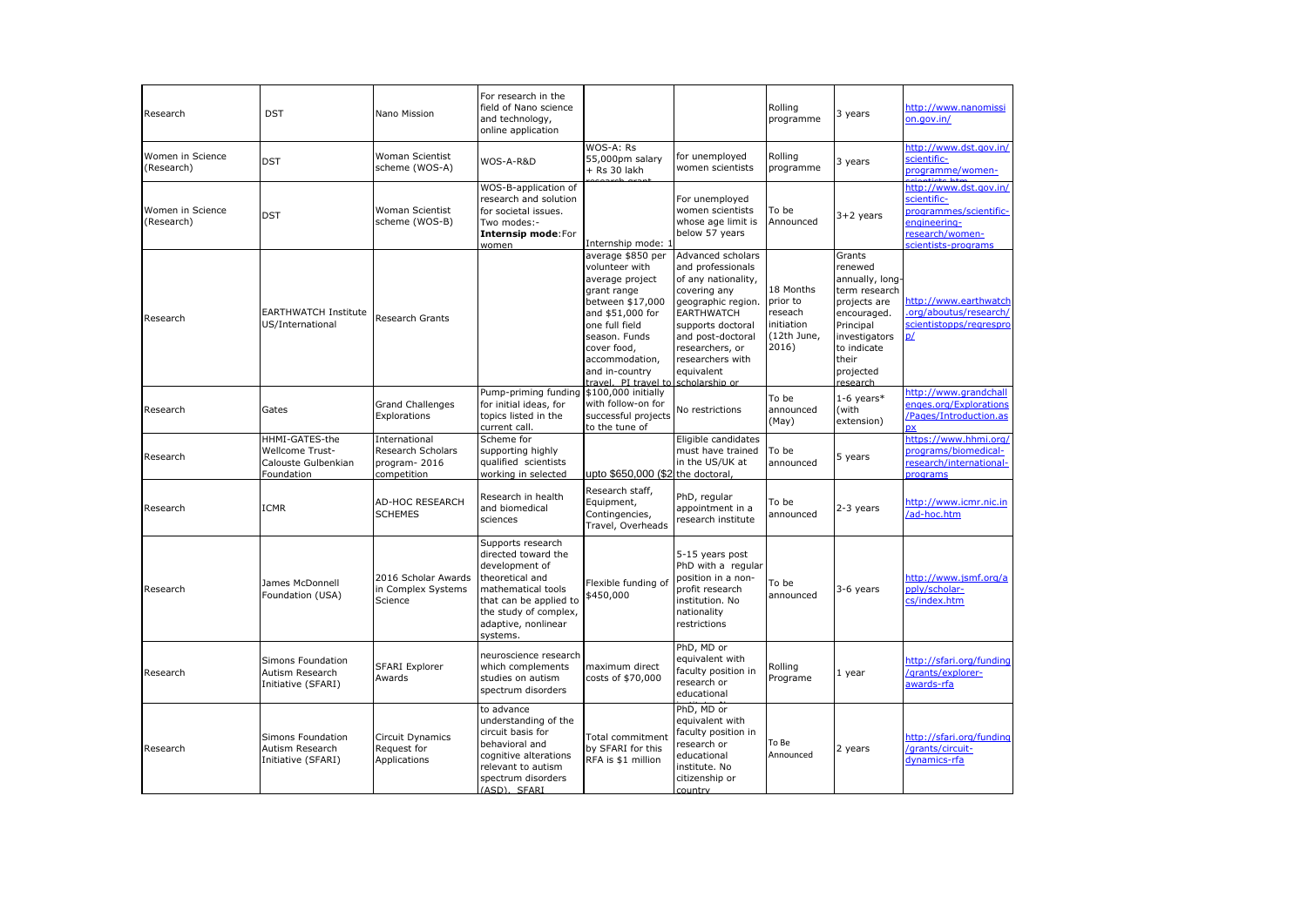| Research                       | <b>DST</b>                                                                    | Nano Mission                                                      | For research in the<br>field of Nano science<br>and technology,<br>online application                                                                                                     |                                                                                                                                                                                                                                            |                                                                                                                                                                                                                         | Rolling<br>programme                                                   | 3 years                                                                                                                                                             | http://www.nanomissi<br>on.gov.in/                                                                                        |
|--------------------------------|-------------------------------------------------------------------------------|-------------------------------------------------------------------|-------------------------------------------------------------------------------------------------------------------------------------------------------------------------------------------|--------------------------------------------------------------------------------------------------------------------------------------------------------------------------------------------------------------------------------------------|-------------------------------------------------------------------------------------------------------------------------------------------------------------------------------------------------------------------------|------------------------------------------------------------------------|---------------------------------------------------------------------------------------------------------------------------------------------------------------------|---------------------------------------------------------------------------------------------------------------------------|
| Women in Science<br>(Research) | <b>DST</b>                                                                    | Woman Scientist<br>scheme (WOS-A)                                 | WOS-A-R&D                                                                                                                                                                                 | WOS-A: Rs<br>55,000pm salary<br>$+$ Rs 30 lakh                                                                                                                                                                                             | for unemployed<br>women scientists                                                                                                                                                                                      | Rolling<br>programme                                                   | 3 years                                                                                                                                                             | http://www.dst.gov.in/<br>scientific-<br>programme/women-                                                                 |
| Women in Science<br>(Research) | <b>DST</b>                                                                    | Woman Scientist<br>scheme (WOS-B)                                 | WOS-B-application of<br>research and solution<br>for societal issues.<br>Two modes:-<br>Internsip mode:For<br>women                                                                       | Internship mode:                                                                                                                                                                                                                           | For unemployed<br>women scientists<br>whose age limit is<br>below 57 years                                                                                                                                              | To be<br>Announced                                                     | $3+2$ years                                                                                                                                                         | http://www.dst.gov.in/<br>scientific-<br>programmes/scientific-<br>engineering-<br>research/women-<br>scientists-programs |
| Research                       | <b>EARTHWATCH Institute</b><br>US/International                               | Research Grants                                                   |                                                                                                                                                                                           | average \$850 per<br>volunteer with<br>average project<br>grant range<br>between \$17,000<br>and \$51,000 for<br>one full field<br>season. Funds<br>cover food,<br>accommodation,<br>and in-country<br>travel. PI travel to scholarship or | Advanced scholars<br>and professionals<br>of any nationality,<br>covering any<br>geographic region.<br><b>EARTHWATCH</b><br>supports doctoral<br>and post-doctoral<br>researchers, or<br>researchers with<br>equivalent | 18 Months<br>prior to<br>reseach<br>initiation<br>(12th June,<br>2016) | Grants<br>renewed<br>annually, long-<br>term research<br>projects are<br>encouraged.<br>Principal<br>investigators<br>to indicate<br>their<br>projected<br>research | http://www.earthwatch<br>org/aboutus/research/<br>scientistopps/regrespro<br>p/                                           |
| Research                       | Gates                                                                         | <b>Grand Challenges</b><br>Explorations                           | Pump-priming funding<br>for initial ideas, for<br>topics listed in the<br>current call.                                                                                                   | \$100,000 initially<br>with follow-on for<br>successful projects<br>to the tune of                                                                                                                                                         | No restrictions                                                                                                                                                                                                         | To be<br>announced<br>(May)                                            | $1-6$ years*<br>(with<br>extension)                                                                                                                                 | http://www.grandchall<br>enges.org/Explorations<br>/Pages/Introduction.as<br><b>px</b>                                    |
| Research                       | HHMI-GATES-the<br><b>Wellcome Trust-</b><br>Calouste Gulbenkian<br>Foundation | International<br>Research Scholars<br>program-2016<br>competition | Scheme for<br>supporting highly<br>qualified scientists<br>working in selected                                                                                                            | upto \$650,000 (\$2 the doctoral,                                                                                                                                                                                                          | Eligible candidates<br>must have trained<br>in the US/UK at                                                                                                                                                             | To be<br>announced                                                     | 5 years                                                                                                                                                             | https://www.hhmi.org/<br>programs/biomedical-<br>research/international-<br>programs                                      |
| Research                       | <b>ICMR</b>                                                                   | <b>AD-HOC RESEARCH</b><br><b>SCHEMES</b>                          | Research in health<br>and biomedical<br>sciences                                                                                                                                          | Research staff,<br>Equipment,<br>Contingencies,<br>Travel, Overheads                                                                                                                                                                       | PhD, regular<br>appointment in a<br>research institute                                                                                                                                                                  | To be<br>announced                                                     | 2-3 years                                                                                                                                                           | http://www.icmr.nic.in<br>/ad-hoc.htm                                                                                     |
| Research                       | James McDonnell<br>Foundation (USA)                                           | 2016 Scholar Awards<br>in Complex Systems<br>Science              | Supports research<br>directed toward the<br>development of<br>theoretical and<br>mathematical tools<br>that can be applied to<br>the study of complex,<br>adaptive, nonlinear<br>systems. | Flexible funding of<br>\$450,000                                                                                                                                                                                                           | 5-15 years post<br>PhD with a regular<br>position in a non-<br>profit research<br>institution. No<br>nationality<br>restrictions                                                                                        | To be<br>announced                                                     | 3-6 years                                                                                                                                                           | http://www.jsmf.org/a<br>pply/scholar-<br>cs/index.htm                                                                    |
| Research                       | Simons Foundation<br>Autism Research<br>Initiative (SFARI)                    | <b>SFARI Explorer</b><br>Awards                                   | neuroscience research<br>which complements<br>studies on autism<br>spectrum disorders                                                                                                     | maximum direct<br>costs of \$70,000                                                                                                                                                                                                        | PhD, MD or<br>equivalent with<br>faculty position in<br>research or<br>educational                                                                                                                                      | Rolling<br>Programe                                                    | 1 year                                                                                                                                                              | http://sfari.org/funding<br>/grants/explorer-<br><u>awards-rfa</u>                                                        |
| Research                       | Simons Foundation<br>Autism Research<br>Initiative (SFARI)                    | <b>Circuit Dynamics</b><br>Request for<br>Applications            | to advance<br>understanding of the<br>circuit basis for<br>behavioral and<br>cognitive alterations<br>relevant to autism<br>spectrum disorders<br>(ASD), SFARI                            | <b>Total commitment</b><br>by SFARI for this<br>RFA is \$1 million                                                                                                                                                                         | PhD, MD or<br>equivalent with<br>faculty position in<br>research or<br>educational<br>institute. No<br>citizenship or<br>country                                                                                        | To Be<br>Announced                                                     | 2 years                                                                                                                                                             | http://sfari.org/funding<br>/grants/circuit-<br>dynamics-rfa                                                              |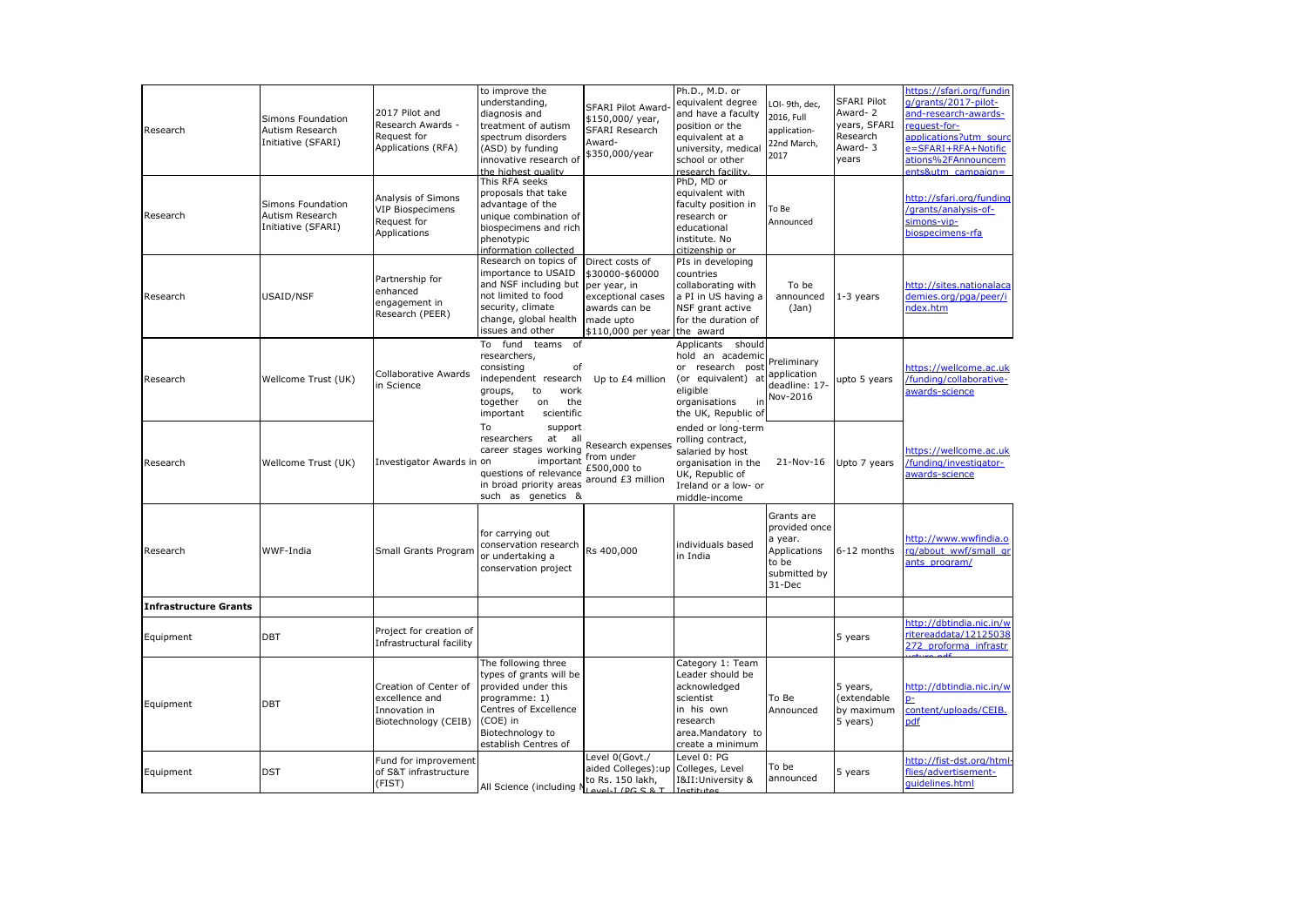| Research              | Simons Foundation<br>Autism Research<br>Initiative (SFARI) | 2017 Pilot and<br>Research Awards -<br>Request for<br>Applications (RFA)         | to improve the<br>understanding<br>diagnosis and<br>treatment of autism<br>spectrum disorders                                                                                                          | <b>SFARI Pilot Award</b><br>\$150,000/ year,<br>SFARI Research<br>Award-                           | Ph.D., M.D. or<br>equivalent degree<br>and have a faculty<br>position or the<br>equivalent at a                                                | LOI-9th, dec,<br>2016, Full<br>application-<br>22nd March,                                | <b>SFARI Pilot</b><br>Award-2<br>years, SFARI<br>Research<br>Award-3 | https://sfari.org/fundin<br>/grants/2017-pilot-<br>and-research-awards-<br>equest-for-<br>applications?utm_soure |
|-----------------------|------------------------------------------------------------|----------------------------------------------------------------------------------|--------------------------------------------------------------------------------------------------------------------------------------------------------------------------------------------------------|----------------------------------------------------------------------------------------------------|------------------------------------------------------------------------------------------------------------------------------------------------|-------------------------------------------------------------------------------------------|----------------------------------------------------------------------|------------------------------------------------------------------------------------------------------------------|
|                       |                                                            |                                                                                  | (ASD) by funding<br>innovative research of<br>the highest quality<br>This RFA seeks<br>proposals that take                                                                                             | \$350,000/year                                                                                     | university, medical<br>school or other<br>research facility<br>PhD, MD or<br>equivalent with                                                   | 2017                                                                                      | years                                                                | <b>E=SFARI+RFA+Notific</b><br>ations%2FAnnouncem<br>$nts\&$ utm campaign=                                        |
| Research              | Simons Foundation<br>Autism Research<br>Initiative (SFARI) | Analysis of Simons<br><b>VIP Biospecimens</b><br>Request for<br>Applications     | advantage of the<br>unique combination of<br>biospecimens and rich<br>phenotypic<br>information collected                                                                                              |                                                                                                    | faculty position in<br>research or<br>educational<br>institute. No<br>citizenshin or                                                           | To Be<br>Announced                                                                        |                                                                      | http://sfari.org/funding<br>'grants/analysis-of-<br>imons-vip-<br>iospecimens-rfa                                |
| Research              | USAID/NSF                                                  | Partnership for<br>enhanced<br>engagement in<br>Research (PEER)                  | Research on topics of Direct costs of<br>importance to USAID<br>and NSF including but   per year, in<br>not limited to food<br>security, climate<br>change, global health<br>issues and other          | \$30000-\$60000<br>exceptional cases<br>awards can be<br>made upto<br>\$110,000 per year the award | PIs in developing<br>countries<br>collaborating with<br>a PI in US having a<br>NSF grant active<br>for the duration of                         | To be<br>announced<br>(Jan)                                                               | $1-3$ years                                                          | http://sites.nationalaca<br>demies.org/pga/peer/i<br>ndex.htm                                                    |
| Research              | Wellcome Trust (UK)                                        | Collaborative Awards<br>in Science                                               | To fund teams<br>of<br>researchers,<br>consisting<br>of<br>independent research<br>to<br>work<br>groups,<br>the<br>together<br>on<br>important<br>scientific                                           | Up to £4 million                                                                                   | Applicants should<br>hold an academi<br>or research post<br>(or equivalent) at application<br>eligible<br>organisations<br>the UK, Republic of | reliminary<br>deadline: 17-<br>Nov-2016                                                   | upto 5 years                                                         | ittps://wellcome.ac.uk<br>funding/collaborative-<br>awards-science                                               |
| Research              | Wellcome Trust (UK)                                        | investigator Awards in on                                                        | To<br>support<br>researchers<br>at<br>all<br>career stages working Nursus of the<br>important<br>questions of relevance £500,000 to<br>in broad priority areas around £3 million<br>such as genetics & | Research expenses                                                                                  | ended or long-term<br>rolling contract,<br>salaried by host<br>organisation in the<br>UK, Republic of<br>Ireland or a low- or<br>middle-income |                                                                                           | 21-Nov-16 Upto 7 years                                               | nttps://wellcome.ac.uk<br>/funding/investigator-<br>awards-science                                               |
| Research              | WWF-India                                                  | Small Grants Program                                                             | for carrying out<br>conservation research Rs 400,000<br>or undertaking a<br>conservation project                                                                                                       |                                                                                                    | individuals based<br>in India                                                                                                                  | Grants are<br>provided once<br>a year.<br>Applications<br>to be<br>submitted by<br>31-Dec | 6-12 months                                                          | http://www.wwfindia.o<br>rg/about_wwf/small_gi<br>ants_program/                                                  |
| Infrastructure Grants |                                                            |                                                                                  |                                                                                                                                                                                                        |                                                                                                    |                                                                                                                                                |                                                                                           |                                                                      |                                                                                                                  |
| Equipment             | DBT                                                        | Project for creation of<br>Infrastructural facility                              |                                                                                                                                                                                                        |                                                                                                    |                                                                                                                                                |                                                                                           | 5 years                                                              | nttp://dbtindia.nic.in/v<br>itereaddata/12125038<br>272 proforma infrastr                                        |
| Equipment             | <b>DBT</b>                                                 | Creation of Center of<br>excellence and<br>Innovation in<br>Biotechnology (CEIB) | The following three<br>types of grants will be<br>provided under this<br>programme: 1)<br>Centres of Excellence<br>(COE) in<br>Biotechnology to<br>establish Centres of                                |                                                                                                    | Category 1: Team<br>Leader should be<br>acknowledged<br>scientist<br>in his own<br>research<br>area.Mandatory to<br>create a minimum           | To Be<br>Announced                                                                        | 5 years,<br>(extendable<br>by maximum<br>5 years)                    | nttp:/ <u>/dbtindia.nic.in/w</u><br>content/uploads/CEIB.<br>pdf                                                 |
| Equipment             | <b>DST</b>                                                 | Fund for improvement<br>of S&T infrastructure<br>(FIST)                          | All Science (including Nine of the C.S. T                                                                                                                                                              | Level 0(Govt./<br>aided Colleges):up<br>to Rs. 150 lakh,                                           | Level 0: PG<br>Colleges, Level<br>I&II: University &                                                                                           | To be<br>announced                                                                        | 5 years                                                              | ittp://fist-dst.org/htm<br>lies/advertisement-<br>juidelines.html                                                |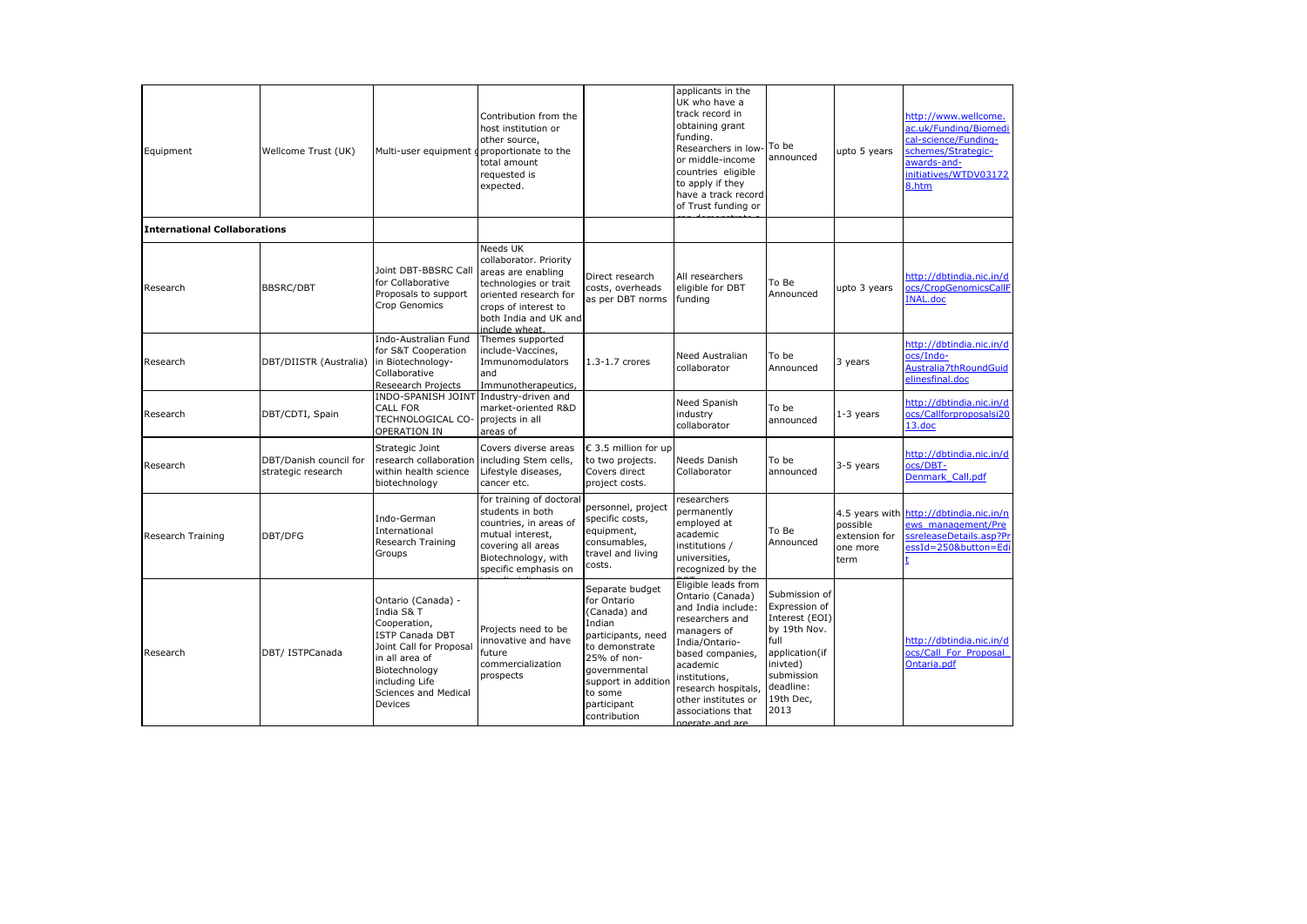| Equipment                           | Wellcome Trust (UK)                          | Multi-user equipment gproportionate to the                                                                                                                                                    | Contribution from the<br>host institution or<br>other source,<br>total amount<br>requested is<br>expected.                                                                   |                                                                                                                                                                                                  | applicants in the<br>UK who have a<br>track record in<br>obtaining grant<br>funding.<br>Researchers in low<br>or middle-income<br>countries eligible<br>to apply if they<br>have a track record<br>of Trust funding or                                   | To be<br>announced                                                                                                                                     | upto 5 years                                                    | http://www.wellcome.<br>ac.uk/Funding/Biomedi<br>cal-science/Funding-<br>schemes/Strategic-<br>awards-and-<br>initiatives/WTDV03172<br>8.htm |
|-------------------------------------|----------------------------------------------|-----------------------------------------------------------------------------------------------------------------------------------------------------------------------------------------------|------------------------------------------------------------------------------------------------------------------------------------------------------------------------------|--------------------------------------------------------------------------------------------------------------------------------------------------------------------------------------------------|----------------------------------------------------------------------------------------------------------------------------------------------------------------------------------------------------------------------------------------------------------|--------------------------------------------------------------------------------------------------------------------------------------------------------|-----------------------------------------------------------------|----------------------------------------------------------------------------------------------------------------------------------------------|
| <b>International Collaborations</b> |                                              |                                                                                                                                                                                               |                                                                                                                                                                              |                                                                                                                                                                                                  |                                                                                                                                                                                                                                                          |                                                                                                                                                        |                                                                 |                                                                                                                                              |
| Research                            | <b>BBSRC/DBT</b>                             | Joint DBT-BBSRC Call<br>for Collaborative<br>Proposals to support<br>Crop Genomics                                                                                                            | Needs UK<br>collaborator. Priority<br>areas are enabling<br>technologies or trait<br>oriented research for<br>crops of interest to<br>both India and UK and<br>include wheat | Direct research<br>costs, overheads<br>as per DBT norms                                                                                                                                          | All researchers<br>eligible for DBT<br>funding                                                                                                                                                                                                           | To Be<br>Announced                                                                                                                                     | upto 3 years                                                    | http://dbtindia.nic.in/d<br>ocs/CropGenomicsCallF<br><b>INAL.doc</b>                                                                         |
| Research                            | DBT/DIISTR (Australia)                       | Indo-Australian Fund<br>for S&T Cooperation<br>in Biotechnology-<br>Collaborative<br>Reseearch Projects                                                                                       | Themes supported<br>include-Vaccines,<br>Immunomodulators<br>and<br>Immunotherapeutics,                                                                                      | 1.3-1.7 crores                                                                                                                                                                                   | Need Australian<br>collaborator                                                                                                                                                                                                                          | To be<br>Announced                                                                                                                                     | 3 years                                                         | http://dbtindia.nic.in/d<br>ocs/Indo-<br>Australia7thRoundGuid<br>elinesfinal.doc                                                            |
| Research                            | DBT/CDTI, Spain                              | INDO-SPANISH JOINT Industry-driven and<br>CALL FOR<br>TECHNOLOGICAL CO-<br>OPERATION IN                                                                                                       | market-oriented R&D<br>projects in all<br>areas of                                                                                                                           |                                                                                                                                                                                                  | Need Spanish<br>industry<br>collaborator                                                                                                                                                                                                                 | To be<br>announced                                                                                                                                     | $1-3$ years                                                     | http://dbtindia.nic.in/d<br>ocs/Callforproposalsi20<br>$13.$ doc                                                                             |
| Research                            | DBT/Danish council for<br>strategic research | Strategic Joint<br>research collaboration<br>within health science<br>biotechnology                                                                                                           | Covers diverse areas<br>including Stem cells,<br>Lifestyle diseases,<br>cancer etc.                                                                                          | € 3.5 million for up<br>to two projects.<br>Covers direct<br>project costs.                                                                                                                      | Needs Danish<br>Collaborator                                                                                                                                                                                                                             | To be<br>announced                                                                                                                                     | 3-5 years                                                       | http://dbtindia.nic.in/d<br>ocs/DBT-<br>Denmark Call.pdf                                                                                     |
| Research Training                   | DBT/DFG                                      | Indo-German<br>International<br>Research Training<br>Groups                                                                                                                                   | for training of doctoral<br>students in both<br>countries, in areas of<br>mutual interest,<br>covering all areas<br>Biotechnology, with<br>specific emphasis on              | personnel, project<br>specific costs,<br>equipment,<br>consumables,<br>travel and living<br>costs.                                                                                               | researchers<br>permanently<br>employed at<br>academic<br>institutions /<br>universities,<br>recognized by the                                                                                                                                            | To Be<br>Announced                                                                                                                                     | 4.5 years with<br>possible<br>extension for<br>one more<br>term | http://dbtindia.nic.in/n<br>ews management/Pre<br>ssreleaseDetails.asp?Pr<br>essId=250&button=Edi                                            |
| Research                            | DBT/ ISTPCanada                              | Ontario (Canada) -<br>India S& T<br>Cooperation,<br><b>ISTP Canada DBT</b><br>Joint Call for Proposal<br>in all area of<br>Biotechnology<br>including Life<br>Sciences and Medical<br>Devices | Projects need to be<br>innovative and have<br>future<br>commercialization<br>prospects                                                                                       | Separate budget<br>for Ontario<br>(Canada) and<br>Indian<br>participants, need<br>to demonstrate<br>25% of non-<br>qovernmental<br>support in additior<br>to some<br>participant<br>contribution | Eligible leads from<br>Ontario (Canada)<br>and India include:<br>researchers and<br>managers of<br>India/Ontario-<br>based companies,<br>academic<br>institutions,<br>research hospitals,<br>other institutes or<br>associations that<br>onerate and are | Submission of<br>Expression of<br>Interest (EOI)<br>by 19th Nov.<br>full<br>application(if<br>inivted)<br>submission<br>deadline:<br>19th Dec,<br>2013 |                                                                 | http://dbtindia.nic.in/d<br>ocs/Call For Proposal<br>Ontaria.pdf                                                                             |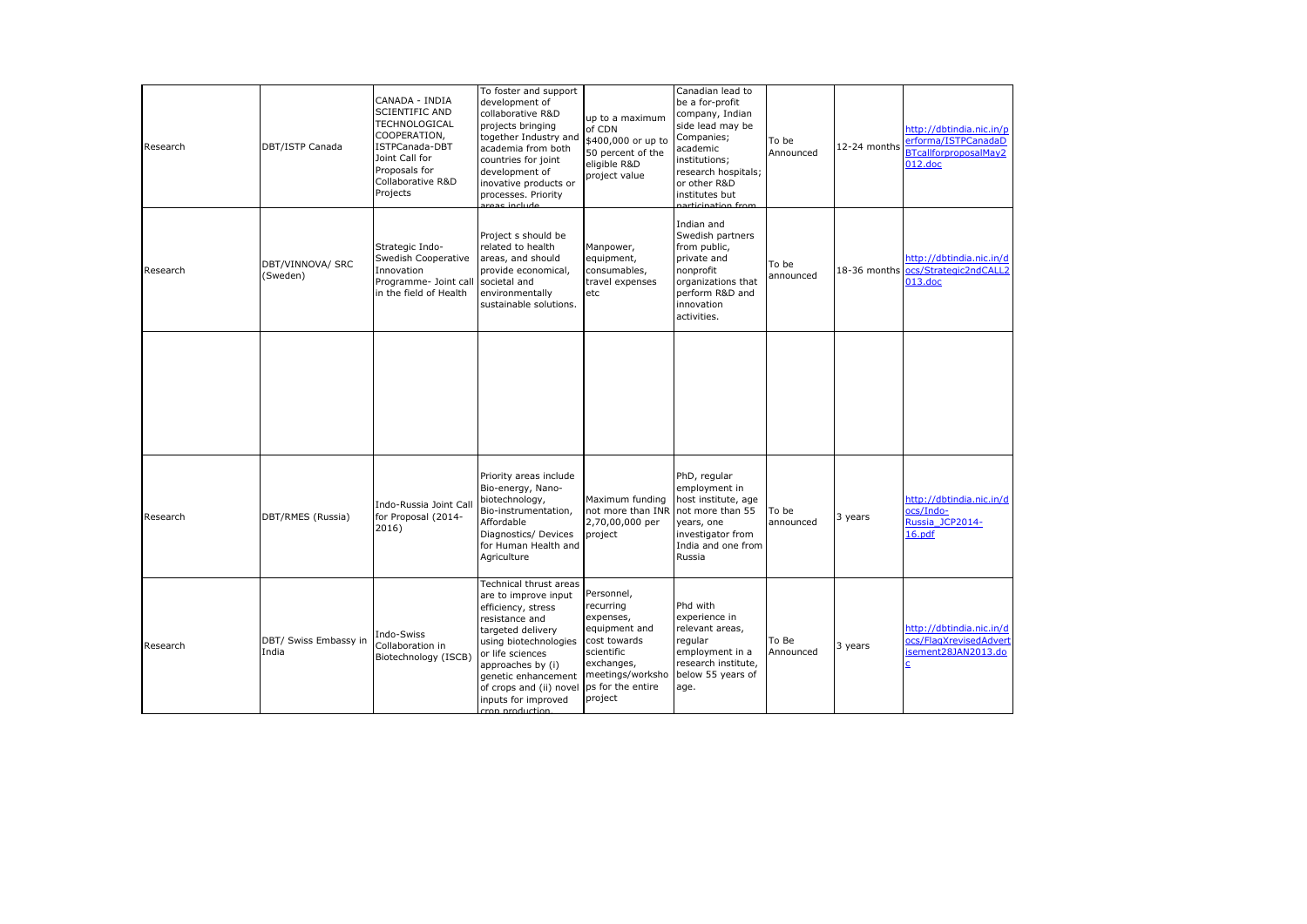| Research | DBT/ISTP Canada                | CANADA - INDIA<br><b>SCIENTIFIC AND</b><br>TECHNOLOGICAL<br>COOPERATION,<br>ISTPCanada-DBT<br>Joint Call for<br>Proposals for<br>Collaborative R&D<br>Projects | To foster and support<br>development of<br>collaborative R&D<br>projects bringing<br>together Industry and<br>academia from both<br>countries for joint<br>development of<br>inovative products or<br>processes. Priority<br>aroac include                                | up to a maximum<br>of CDN<br>\$400,000 or up to<br>50 percent of the<br>eligible R&D<br>project value                                                 | Canadian lead to<br>be a for-profit<br>company, Indian<br>side lead may be<br>Companies;<br>academic<br>institutions;<br>research hospitals;<br>or other R&D<br>institutes but<br>narticination from | To be<br>Announced | 12-24 months | http://dbtindia.nic.in/p<br>erforma/ISTPCanadaD<br>BTcallforproposalMay2<br>$012$ .doc |
|----------|--------------------------------|----------------------------------------------------------------------------------------------------------------------------------------------------------------|---------------------------------------------------------------------------------------------------------------------------------------------------------------------------------------------------------------------------------------------------------------------------|-------------------------------------------------------------------------------------------------------------------------------------------------------|------------------------------------------------------------------------------------------------------------------------------------------------------------------------------------------------------|--------------------|--------------|----------------------------------------------------------------------------------------|
| Research | DBT/VINNOVA/ SRC<br>(Sweden)   | Strategic Indo-<br>Swedish Cooperative<br>Innovation<br>Programme- Joint call<br>in the field of Health                                                        | Project s should be<br>related to health<br>areas, and should<br>provide economical,<br>societal and<br>environmentally<br>sustainable solutions.                                                                                                                         | Manpower,<br>equipment,<br>consumables,<br>travel expenses<br>etc                                                                                     | Indian and<br>Swedish partners<br>from public,<br>private and<br>nonprofit<br>organizations that<br>perform R&D and<br>innovation<br>activities.                                                     | To be<br>announced |              | http://dbtindia.nic.in/d<br>18-36 months ocs/Strategic2ndCALL2<br>013.doc              |
|          |                                |                                                                                                                                                                |                                                                                                                                                                                                                                                                           |                                                                                                                                                       |                                                                                                                                                                                                      |                    |              |                                                                                        |
| Research | DBT/RMES (Russia)              | Indo-Russia Joint Call<br>for Proposal (2014-<br>2016)                                                                                                         | Priority areas include<br>Bio-energy, Nano-<br>biotechnology,<br>Bio-instrumentation,<br>Affordable<br>Diagnostics/ Devices<br>for Human Health and<br>Agriculture                                                                                                        | Maximum funding<br>not more than INR<br>2,70,00,000 per<br>project                                                                                    | PhD, regular<br>employment in<br>host institute, age<br>not more than 55<br>years, one<br>investigator from<br>India and one from<br>Russia                                                          | To be<br>announced | 3 years      | http://dbtindia.nic.in/d<br>ocs/Indo-<br>Russia JCP2014-<br>16.pdf                     |
| Research | DBT/ Swiss Embassy in<br>India | Indo-Swiss<br>Collaboration in<br>Biotechnology (ISCB)                                                                                                         | Technical thrust areas<br>are to improve input<br>efficiency, stress<br>resistance and<br>targeted delivery<br>using biotechnologies<br>or life sciences<br>approaches by (i)<br>genetic enhancement<br>of crops and (ii) novel<br>inputs for improved<br>cron production | Personnel,<br>recurring<br>expenses,<br>equipment and<br>cost towards<br>scientific<br>exchanges,<br>meetings/worksho<br>ps for the entire<br>project | Phd with<br>experience in<br>relevant areas,<br>regular<br>employment in a<br>research institute,<br>below 55 years of<br>age.                                                                       | To Be<br>Announced | 3 years      | http://dbtindia.nic.in/d<br>ocs/FlagXrevisedAdvert<br>isement28JAN2013.do<br>c         |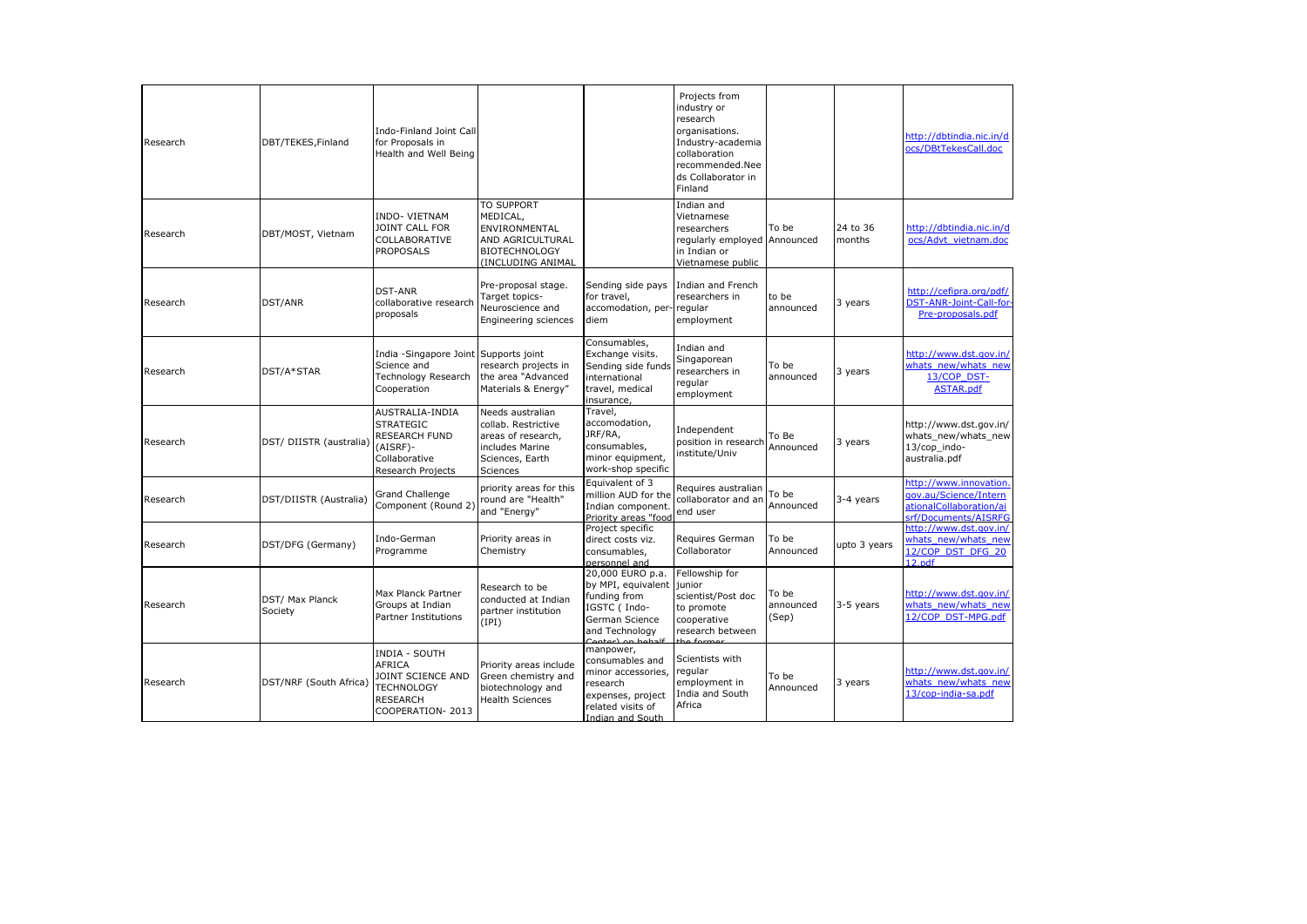| Research | DBT/TEKES, Finland                | Indo-Finland Joint Call<br>for Proposals in<br>Health and Well Being                                            |                                                                                                                 |                                                                                                                              | Projects from<br>industry or<br>research<br>organisations.<br>Industry-academia<br>collaboration<br>recommended.Nee<br>ds Collaborator in<br>Finland |                             |                    | http://dbtindia.nic.in/d<br>ocs/DBtTekesCall.doc                                                   |
|----------|-----------------------------------|-----------------------------------------------------------------------------------------------------------------|-----------------------------------------------------------------------------------------------------------------|------------------------------------------------------------------------------------------------------------------------------|------------------------------------------------------------------------------------------------------------------------------------------------------|-----------------------------|--------------------|----------------------------------------------------------------------------------------------------|
| Research | DBT/MOST, Vietnam                 | INDO- VIETNAM<br>JOINT CALL FOR<br>COLLABORATIVE<br><b>PROPOSALS</b>                                            | TO SUPPORT<br>MEDICAL,<br>ENVIRONMENTAL<br>AND AGRICULTURAL<br><b>BIOTECHNOLOGY</b><br>(INCLUDING ANIMAL        |                                                                                                                              | Indian and<br>Vietnamese<br>researchers<br>regularly employed<br>in Indian or<br>Vietnamese public                                                   | To be<br>Announced          | 24 to 36<br>months | http://dbtindia.nic.in/d<br>ocs/Advt_vietnam.doc                                                   |
| Research | DST/ANR                           | <b>DST-ANR</b><br>collaborative research<br>proposals                                                           | Pre-proposal stage.<br>Target topics-<br>Neuroscience and<br>Engineering sciences                               | Sending side pays<br>for travel.<br>accomodation, per- regular<br>diem                                                       | Indian and French<br>researchers in<br>employment                                                                                                    | to be<br>announced          | 3 years            | http://cefipra.org/pdf/<br>DST-ANR-Joint-Call-for-<br>Pre-proposals.pdf                            |
| Research | DST/A*STAR                        | India -Singapore Joint Supports joint<br>Science and<br>Technology Research<br>Cooperation                      | research projects in<br>the area "Advanced<br>Materials & Energy"                                               | Consumables,<br>Exchange visits.<br>Sending side funds<br>international<br>travel, medical<br>insurance,                     | Indian and<br>Singaporean<br>researchers in<br>regular<br>employment                                                                                 | To be<br>announced          | 3 years            | http://www.dst.gov.in/<br>whats new/whats new<br>13/COP DST-<br>ASTAR.pdf                          |
| Research | DST/ DIISTR (australia)           | AUSTRALIA-INDIA<br><b>STRATEGIC</b><br>RESEARCH FUND<br>(AISRF)-<br>Collaborative<br>Research Projects          | Needs australian<br>collab. Restrictive<br>areas of research.<br>includes Marine<br>Sciences, Earth<br>Sciences | Travel,<br>accomodation,<br>JRF/RA,<br>consumables,<br>minor equipment,<br>work-shop specific                                | Independent<br>position in research<br>institute/Univ                                                                                                | To Be<br>Announced          | 3 years            | http://www.dst.gov.in/<br>whats new/whats new<br>13/cop_indo-<br>australia.pdf                     |
| Research | DST/DIISTR (Australia)            | Grand Challenge<br>Component (Round 2)                                                                          | priority areas for this<br>round are "Health"<br>and "Energy"                                                   | Equivalent of 3<br>million AUD for the<br>Indian component.<br>Priority areas "food                                          | Requires australian<br>collaborator and an<br>end user                                                                                               | To be<br>Announced          | 3-4 years          | http://www.innovation.<br>gov.au/Science/Intern<br>ationalCollaboration/ai<br>srf/Documents/AISRFG |
| Research | DST/DFG (Germany)                 | Indo-German<br>Programme                                                                                        | Priority areas in<br>Chemistry                                                                                  | Project specific<br>direct costs viz.<br>consumables,<br>personnel and                                                       | Requires German<br>Collaborator                                                                                                                      | To be<br>Announced          | upto 3 years       | http://www.dst.gov.in/<br>whats new/whats new<br>12/COP DST DFG 20<br>12.pdf                       |
| Research | <b>DST/ Max Planck</b><br>Society | Max Planck Partner<br>Groups at Indian<br><b>Partner Institutions</b>                                           | Research to be<br>conducted at Indian<br>partner institution<br>(IPI)                                           | 20,000 EURO p.a.<br>by MPI, equivalent<br>funding from<br>IGSTC ( Indo-<br>German Science<br>and Technology                  | Fellowship for<br>iunior<br>scientist/Post doc<br>to promote<br>cooperative<br>research between                                                      | To be<br>announced<br>(Sep) | 3-5 years          | http://www.dst.gov.in/<br>whats_new/whats_new<br>12/COP DST-MPG.pdf                                |
| Research | DST/NRF (South Africa)            | <b>INDIA - SOUTH</b><br>AFRICA<br>JOINT SCIENCE AND<br><b>TECHNOLOGY</b><br><b>RESEARCH</b><br>COOPERATION-2013 | Priority areas include<br>Green chemistry and<br>biotechnology and<br><b>Health Sciences</b>                    | manpower,<br>consumables and<br>minor accessories,<br>research<br>expenses, project<br>related visits of<br>Indian and South | Scientists with<br>regular<br>employment in<br>India and South<br>Africa                                                                             | To be<br>Announced          | 3 years            | http://www.dst.gov.in/<br>whats new/whats new<br>13/cop-india-sa.pdf                               |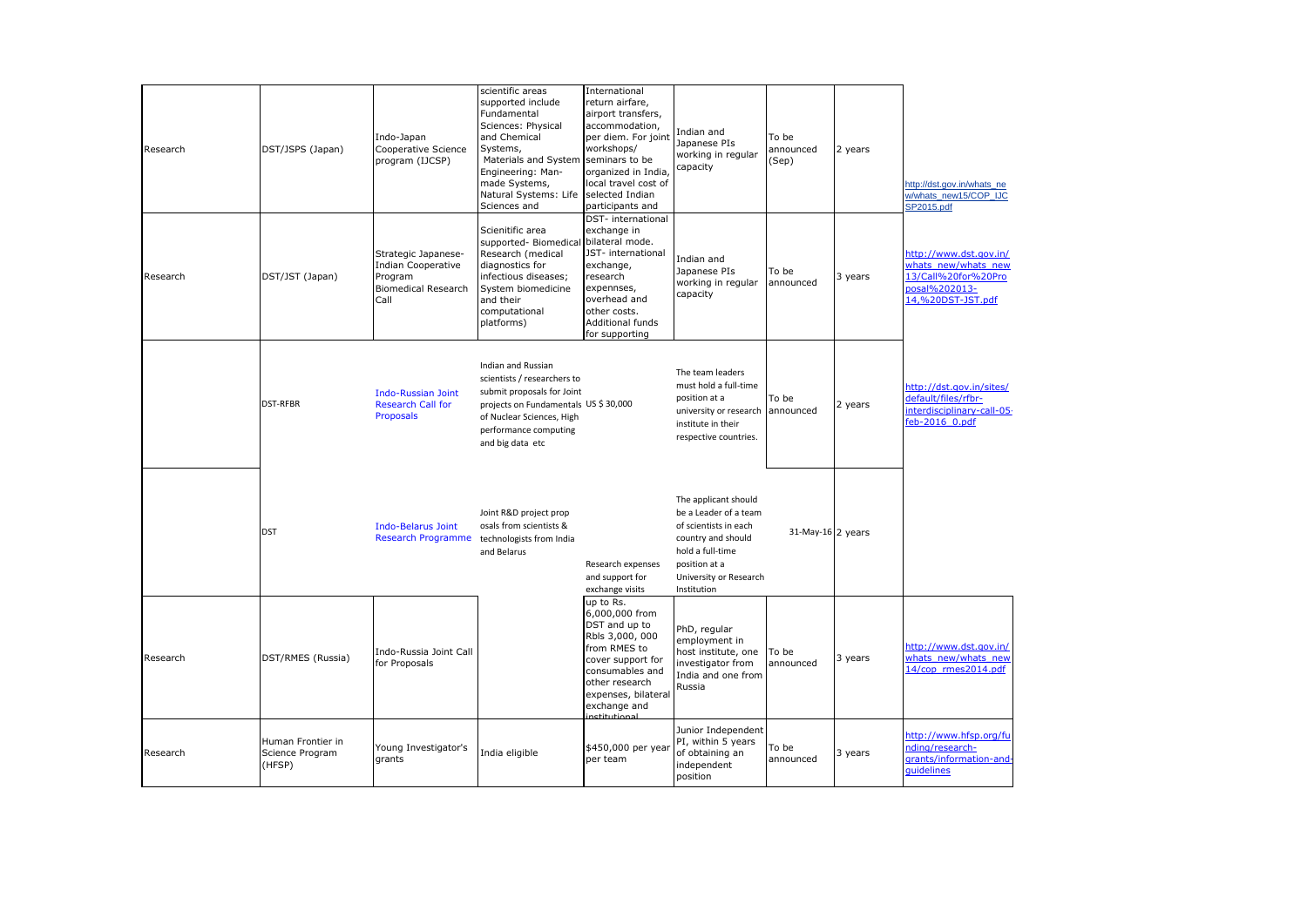| Research | DST/JSPS (Japan)                               | Indo-Japan<br>Cooperative Science<br>program (IJCSP)                                              | scientific areas<br>supported include<br>Fundamental<br>Sciences: Physical<br>and Chemical<br>Systems,<br>Materials and System<br>Engineering: Man-<br>made Systems,<br>Natural Systems: Life selected Indian<br>Sciences and | International<br>return airfare,<br>airport transfers,<br>accommodation,<br>per diem. For joint<br>workshops/<br>seminars to be<br>organized in India,<br>local travel cost of<br>participants and | Indian and<br>Japanese PIs<br>working in regular<br>capacity                                                                                                               | To be<br>announced<br>(Sep) | 2 years | http://dst.gov.in/whats_ne<br>w/whats_new15/COP_IJC<br>SP2015.pdf                                          |
|----------|------------------------------------------------|---------------------------------------------------------------------------------------------------|-------------------------------------------------------------------------------------------------------------------------------------------------------------------------------------------------------------------------------|----------------------------------------------------------------------------------------------------------------------------------------------------------------------------------------------------|----------------------------------------------------------------------------------------------------------------------------------------------------------------------------|-----------------------------|---------|------------------------------------------------------------------------------------------------------------|
| Research | DST/JST (Japan)                                | Strategic Japanese-<br><b>Indian Cooperative</b><br>Program<br><b>Biomedical Research</b><br>Call | Scienitific area<br>supported- Biomedical bilateral mode.<br>Research (medical<br>diagnostics for<br>infectious diseases;<br>System biomedicine<br>and their<br>computational<br>platforms)                                   | DST- international<br>exchange in<br>JST- international<br>exchange,<br>research<br>expennses,<br>overhead and<br>other costs.<br><b>Additional funds</b><br>for supporting                        | Indian and<br>Japanese PIs<br>working in regular<br>capacity                                                                                                               | To be<br>announced          | 3 years | http://www.dst.gov.in/<br>whats new/whats new<br>13/Call%20for%20Pro<br>posal%202013-<br>14,%20DST-JST.pdf |
|          | DST-RFBR                                       | <b>Indo-Russian Joint</b><br><b>Research Call for</b><br>Proposals                                | <b>Indian and Russian</b><br>scientists / researchers to<br>submit proposals for Joint<br>projects on Fundamentals US \$ 30,000<br>of Nuclear Sciences, High<br>performance computing<br>and big data etc                     |                                                                                                                                                                                                    | The team leaders<br>must hold a full-time<br>position at a<br>university or research<br>institute in their<br>respective countries.                                        | To be<br>announced          | 2 years | http://dst.gov.in/sites/<br>default/files/rfbr-<br>interdisciplinary-call-05-<br>feb-2016 0.pdf            |
|          | <b>DST</b>                                     | <b>Indo-Belarus Joint</b><br>Research Programme technologists from India                          | Joint R&D project prop<br>osals from scientists &<br>and Belarus                                                                                                                                                              | Research expenses<br>and support for<br>exchange visits                                                                                                                                            | The applicant should<br>be a Leader of a team<br>of scientists in each<br>country and should<br>hold a full-time<br>position at a<br>University or Research<br>Institution | 31-May-16 2 years           |         |                                                                                                            |
| Research | DST/RMES (Russia)                              | Indo-Russia Joint Call<br>for Proposals                                                           |                                                                                                                                                                                                                               | up to Rs.<br>6,000,000 from<br>DST and up to<br>Rbls 3,000, 000<br>from RMES to<br>cover support for<br>consumables and<br>other research<br>expenses, bilateral<br>exchange and<br>nctitutional   | PhD, regular<br>employment in<br>host institute, one<br>investigator from<br>India and one from<br>Russia                                                                  | To be<br>announced          | 3 years | http://www.dst.gov.in/<br>whats new/whats new<br>14/cop rmes2014.pdf                                       |
| Research | Human Frontier in<br>Science Program<br>(HFSP) | Young Investigator's<br>grants                                                                    | India eligible                                                                                                                                                                                                                | \$450,000 per year<br>per team                                                                                                                                                                     | Junior Independent<br>PI, within 5 years<br>of obtaining an<br>independent<br>position                                                                                     | To be<br>announced          | 3 years | http://www.hfsp.org/fu<br>nding/research-<br>grants/information-and-<br>quidelines                         |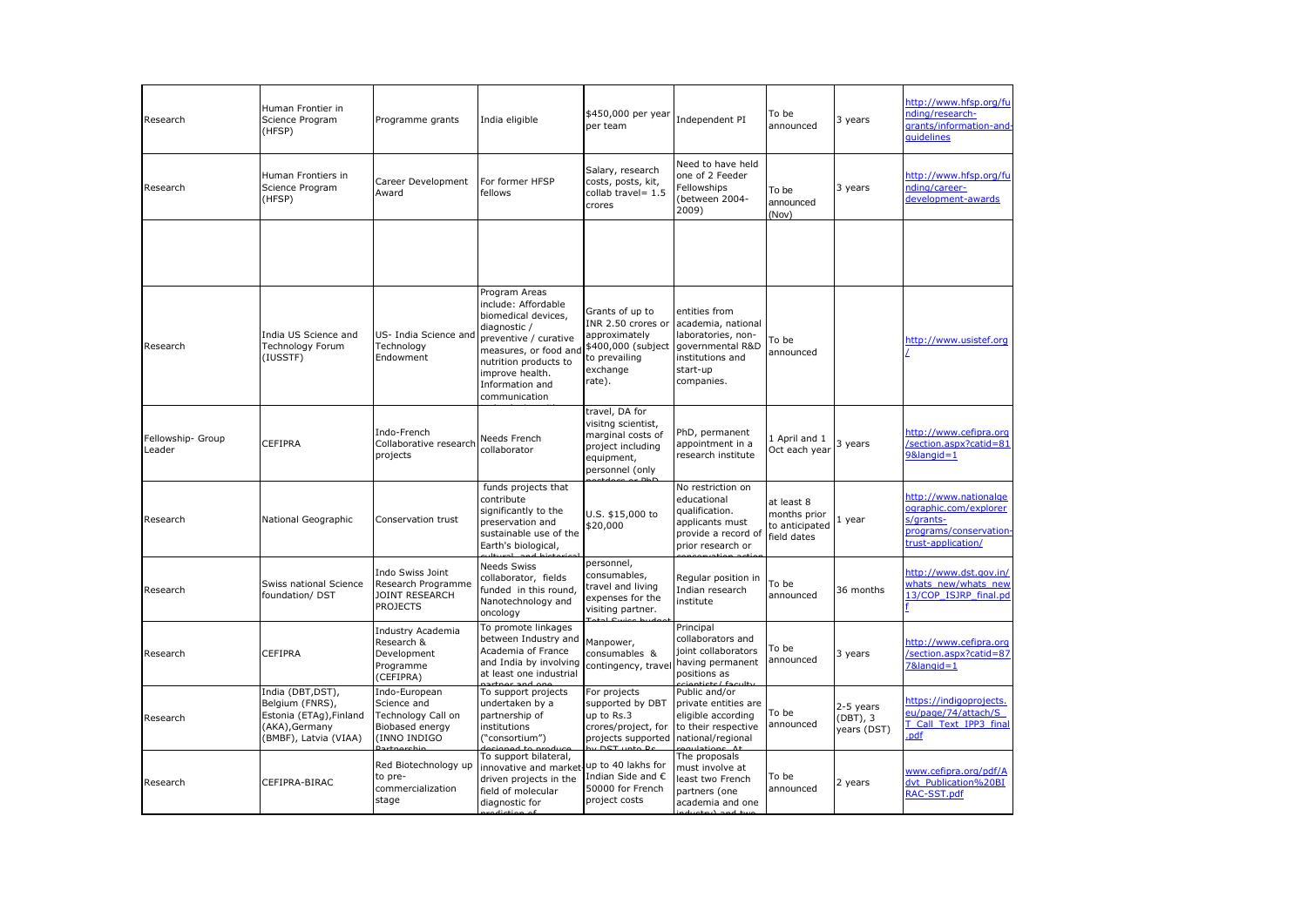| Research                    | Human Frontier in<br>Science Program<br>(HFSP)                                                             | Programme grants                                                                      | India eligible                                                                                                                                                                                                | \$450,000 per year<br>per team                                                                                      | Independent PI                                                                                                              | To be<br>announced                                          | 3 years                              | http://www.hfsp.org/fu<br>nding/research-<br>grants/information-and-<br>quidelines                          |
|-----------------------------|------------------------------------------------------------------------------------------------------------|---------------------------------------------------------------------------------------|---------------------------------------------------------------------------------------------------------------------------------------------------------------------------------------------------------------|---------------------------------------------------------------------------------------------------------------------|-----------------------------------------------------------------------------------------------------------------------------|-------------------------------------------------------------|--------------------------------------|-------------------------------------------------------------------------------------------------------------|
| Research                    | Human Frontiers in<br>Science Program<br>(HFSP)                                                            | Career Development<br>Award                                                           | For former HFSP<br>fellows                                                                                                                                                                                    | Salary, research<br>costs, posts, kit,<br>collab travel= 1.5<br>crores                                              | Need to have held<br>one of 2 Feeder<br>Fellowships<br>between 2004-<br>2009)                                               | To be<br>announced<br>(Nov)                                 | 3 years                              | http://www.hfsp.org/fu<br>nding/career-<br>development-awards                                               |
|                             |                                                                                                            |                                                                                       |                                                                                                                                                                                                               |                                                                                                                     |                                                                                                                             |                                                             |                                      |                                                                                                             |
| Research                    | India US Science and<br>Technology Forum<br>(IUSSTF)                                                       | US- India Science and<br>Technology<br>Endowment                                      | Program Areas<br>include: Affordable<br>biomedical devices,<br>diagnostic /<br>preventive / curative<br>measures, or food and<br>nutrition products to<br>improve health.<br>Information and<br>communication | Grants of up to<br>INR 2.50 crores or<br>approximately<br>\$400,000 (subject<br>to prevailing<br>exchange<br>rate). | entities from<br>academia, national<br>laboratories, non-<br>governmental R&D<br>institutions and<br>start-up<br>companies. | To be<br>announced                                          |                                      | http://www.usistef.org                                                                                      |
| Fellowship- Group<br>Leader | <b>CEFIPRA</b>                                                                                             | Indo-French<br>Collaborative research<br>projects                                     | Needs French<br>collaborator                                                                                                                                                                                  | travel, DA for<br>visitng scientist,<br>marginal costs of<br>project including<br>equipment,<br>personnel (only     | PhD, permanent<br>appointment in a<br>research institute                                                                    | 1 April and 1<br>Oct each year                              | 3 years                              | http://www.cefipra.org<br>/section.aspx?catid=81<br>9&langid=1                                              |
| Research                    | National Geographic                                                                                        | Conservation trust                                                                    | funds projects that<br>contribute<br>significantly to the<br>preservation and<br>sustainable use of the<br>Earth's biological,                                                                                | U.S. \$15,000 to<br>\$20,000                                                                                        | No restriction on<br>educational<br>qualification.<br>applicants must<br>provide a record of<br>prior research or           | at least 8<br>months prior<br>to anticipated<br>field dates | 1 year                               | http://www.nationalge<br>ographic.com/explorer<br>s/grants-<br>programs/conservation-<br>trust-application/ |
| Research                    | Swiss national Science<br>foundation/ DST                                                                  | Indo Swiss Joint<br>Research Programme<br>JOINT RESEARCH<br><b>PROJECTS</b>           | <b>Needs Swiss</b><br>collaborator, fields<br>funded in this round,<br>Nanotechnology and<br>oncology                                                                                                         | personnel,<br>consumables,<br>travel and living<br>expenses for the<br>visiting partner.                            | Regular position in<br>Indian research<br>institute                                                                         | To be<br>announced                                          | 36 months                            | http://www.dst.gov.in/<br>whats new/whats new<br>13/COP ISJRP final.pd                                      |
| Research                    | CEFIPRA                                                                                                    | Industry Academia<br>Research &<br>Development<br>Programme<br>(CEFIPRA)              | To promote linkages<br>between Industry and<br>Academia of France<br>and India by involving<br>at least one industrial                                                                                        | Manpower,<br>consumables &<br>contingency, travel                                                                   | Principal<br>collaborators and<br>joint collaborators<br>having permanent<br>positions as                                   | To be<br>announced                                          | 3 years                              | http://www.cefipra.org<br>/section.aspx?catid=87<br>7&langid=1                                              |
| Research                    | India (DBT, DST),<br>Belgium (FNRS),<br>Estonia (ETAg), Finland<br>(AKA), Germany<br>(BMBF), Latvia (VIAA) | Indo-European<br>Science and<br>Technology Call on<br>Biobased energy<br>(INNO INDIGO | To support projects<br>undertaken by a<br>partnership of<br>institutions<br>("consortium")                                                                                                                    | For projects<br>supported by DBT<br>up to Rs.3<br>crores/project, for<br>projects supported                         | Public and/or<br>private entities are<br>eligible according<br>to their respective<br>national/regional                     | To be<br>announced                                          | 2-5 years<br>(DBT), 3<br>years (DST) | https://indigoprojects.<br>eu/page/74/attach/S<br>T Call Text IPP3 final<br>pdf                             |
| Research                    | CEFIPRA-BIRAC                                                                                              | Red Biotechnology up<br>to pre-<br>commercialization<br>stage                         | To support bilateral,<br>innovative and market<br>driven projects in the<br>field of molecular<br>diagnostic for                                                                                              | up to 40 lakhs for<br>Indian Side and $\epsilon$<br>50000 for French<br>project costs                               | The proposals<br>must involve at<br>least two French<br>partners (one<br>academia and one                                   | To be<br>announced                                          | 2 years                              | www.cefipra.org/pdf/A<br>dvt Publication%20BI<br>RAC-SST.pdf                                                |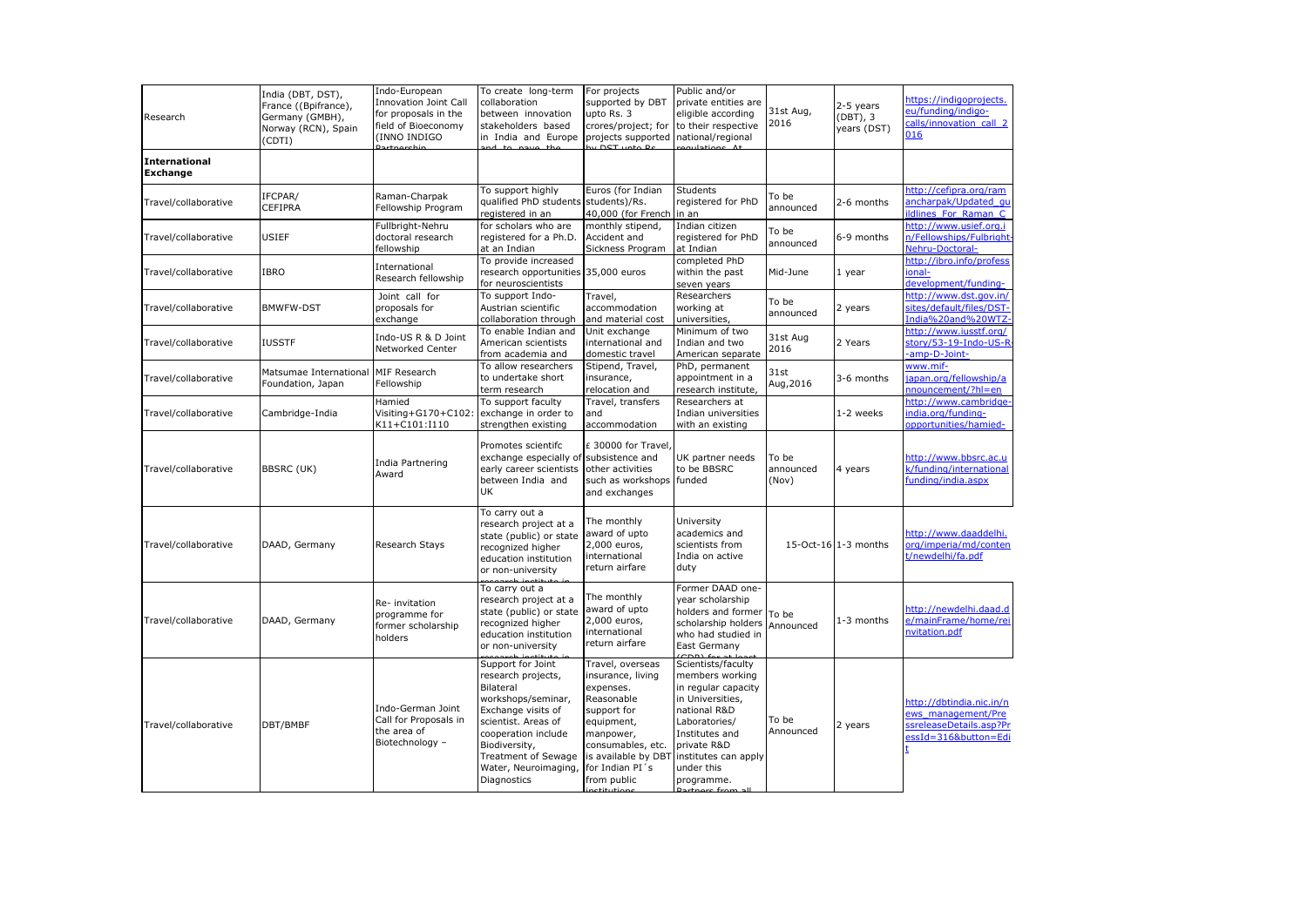| Research                         | India (DBT, DST),<br>France ((Bpifrance),<br>Germany (GMBH),<br>Norway (RCN), Spain<br>(CDTI) | Indo-European<br><b>Innovation Joint Call</b><br>for proposals in the<br>field of Bioeconomy<br>(INNO INDIGO | To create long-term<br>collaboration<br>between innovation<br>stakeholders based<br>in India and Europe                                                                                                                                     | For projects<br>supported by DBT<br>upto Rs. 3<br>crores/project; for<br>projects supported                                                                                              | Public and/or<br>private entities are<br>eligible according<br>to their respective<br>national/regional                                                                                                                     | 31st Aug,<br>2016           | 2-5 years<br>(DBT), 3<br>years (DST) | https://indigoprojects.<br>eu/funding/indigo-<br>calls/innovation_call_2<br>016                   |
|----------------------------------|-----------------------------------------------------------------------------------------------|--------------------------------------------------------------------------------------------------------------|---------------------------------------------------------------------------------------------------------------------------------------------------------------------------------------------------------------------------------------------|------------------------------------------------------------------------------------------------------------------------------------------------------------------------------------------|-----------------------------------------------------------------------------------------------------------------------------------------------------------------------------------------------------------------------------|-----------------------------|--------------------------------------|---------------------------------------------------------------------------------------------------|
| <b>International</b><br>Exchange |                                                                                               |                                                                                                              |                                                                                                                                                                                                                                             |                                                                                                                                                                                          |                                                                                                                                                                                                                             |                             |                                      |                                                                                                   |
| Travel/collaborative             | IFCPAR/<br>CEFIPRA                                                                            | Raman-Charpak<br>Fellowship Program                                                                          | To support highly<br>qualified PhD students<br>registered in an                                                                                                                                                                             | Euros (for Indian<br>students)/Rs.<br>40,000 (for French                                                                                                                                 | <b>Students</b><br>registered for PhD<br>in an                                                                                                                                                                              | To be<br>announced          | 2-6 months                           | http://cefipra.org/ram<br>ancharpak/Updated qu<br>ildlines For Raman C                            |
| Travel/collaborative             | <b>USIEF</b>                                                                                  | Fullbright-Nehru<br>doctoral research<br>fellowship                                                          | for scholars who are<br>registered for a Ph.D.<br>at an Indian                                                                                                                                                                              | monthly stipend,<br>Accident and<br>Sickness Program                                                                                                                                     | Indian citizen<br>registered for PhD<br>at Indian                                                                                                                                                                           | To be<br>announced          | 6-9 months                           | http://www.usief.org.i<br>n/Fellowships/Fulbright-<br>Nehru-Doctoral-                             |
| Travel/collaborative             | IBRO                                                                                          | International<br>Research fellowship                                                                         | To provide increased<br>research opportunities 35,000 euros<br>for neuroscientists                                                                                                                                                          |                                                                                                                                                                                          | completed PhD<br>within the past<br>seven years                                                                                                                                                                             | Mid-June                    | 1 year                               | http://ibro.info/profess<br>ional-<br>development/funding-                                        |
| Travel/collaborative             | <b>BMWFW-DST</b>                                                                              | Joint call for<br>proposals for<br>exchange                                                                  | To support Indo-<br>Austrian scientific<br>collaboration through                                                                                                                                                                            | Travel,<br>accommodation<br>and material cost                                                                                                                                            | Researchers<br>working at<br>universities,                                                                                                                                                                                  | To be<br>announced          | 2 years                              | http://www.dst.gov.in/<br>sites/default/files/DST-<br>India%20and%20WTZ-                          |
| Travel/collaborative             | <b>IUSSTF</b>                                                                                 | Indo-US R & D Joint<br>Networked Center                                                                      | To enable Indian and<br>American scientists<br>from academia and                                                                                                                                                                            | Unit exchange<br>international and<br>domestic travel                                                                                                                                    | Minimum of two<br>Indian and two<br>American separate                                                                                                                                                                       | 31st Aug<br>2016            | 2 Years                              | http://www.iusstf.org/<br>story/53-19-Indo-US-R<br>-amp-D-Joint-                                  |
| Travel/collaborative             | Matsumae International<br>Foundation, Japan                                                   | MIF Research<br>Fellowship                                                                                   | To allow researchers<br>to undertake short<br>term research                                                                                                                                                                                 | Stipend, Travel,<br>insurance,<br>relocation and                                                                                                                                         | PhD, permanent<br>appointment in a<br>research institute,                                                                                                                                                                   | 31st<br>Aug, 2016           | 3-6 months                           | www.mif-<br>japan.org/fellowship/a<br>nnouncement/?hl=en                                          |
| Travel/collaborative             | Cambridge-India                                                                               | Hamied<br>Visiting+G170+C102:<br>K11+C101:I110                                                               | To support faculty<br>exchange in order to<br>strengthen existing                                                                                                                                                                           | Travel, transfers<br>and<br>accommodation                                                                                                                                                | Researchers at<br>Indian universities<br>with an existing                                                                                                                                                                   |                             | 1-2 weeks                            | http://www.cambridge-<br>india.org/funding-<br>opportunities/hamied-                              |
| Travel/collaborative             | <b>BBSRC (UK)</b>                                                                             | India Partnering<br>Award                                                                                    | Promotes scientifc<br>exchange especially of subsistence and<br>early career scientists<br>between India and<br>UK                                                                                                                          | £ 30000 for Travel,<br>other activities<br>such as workshops<br>and exchanges                                                                                                            | UK partner needs<br>to be BBSRC<br>funded                                                                                                                                                                                   | To be<br>announced<br>(Nov) | 4 years                              | http://www.bbsrc.ac.u<br>k/funding/international<br>funding/india.aspx                            |
| Travel/collaborative             | DAAD, Germany                                                                                 | Research Stays                                                                                               | To carry out a<br>research project at a<br>state (public) or state<br>recognized higher<br>education institution<br>or non-university                                                                                                       | The monthly<br>award of upto<br>2,000 euros,<br>international<br>return airfare                                                                                                          | University<br>academics and<br>scientists from<br>India on active<br>duty                                                                                                                                                   |                             | 15-Oct-16 1-3 months                 | http://www.daaddelhi.<br>org/imperia/md/conten<br>t/newdelhi/fa.pdf                               |
| Travel/collaborative             | DAAD, Germany                                                                                 | Re- invitation<br>programme for<br>former scholarship<br>holders                                             | To carry out a<br>research project at a<br>state (public) or state<br>recognized higher<br>education institution<br>or non-university                                                                                                       | The monthly<br>award of upto<br>2,000 euros,<br>international<br>return airfare                                                                                                          | Former DAAD one-<br>year scholarship<br>holders and former<br>scholarship holders<br>who had studied in<br>East Germany                                                                                                     | To be<br>Announced          | 1-3 months                           | http://newdelhi.daad.d<br>e/mainFrame/home/rei<br><b>nvitation.pdf</b>                            |
| Travel/collaborative             | DBT/BMBF                                                                                      | Indo-German Joint<br>Call for Proposals in<br>the area of<br>Biotechnology -                                 | Support for Joint<br>research projects,<br>Bilateral<br>workshops/seminar,<br>Exchange visits of<br>scientist. Areas of<br>cooperation include<br>Biodiversity,<br><b>Treatment of Sewage</b><br>Water, Neuroimaging,<br><b>Diagnostics</b> | Travel, overseas<br>insurance, living<br>expenses.<br>Reasonable<br>support for<br>equipment,<br>manpower,<br>consumables, etc.<br>is available by DBT<br>for Indian PI's<br>from public | Scientists/faculty<br>members working<br>in regular capacity<br>in Universities,<br>national R&D<br>Laboratories/<br>Institutes and<br>private R&D<br>institutes can apply<br>under this<br>programme.<br>Dartnore from all | To be<br>Announced          | 2 years                              | http://dbtindia.nic.in/n<br>ews management/Pre<br>ssreleaseDetails.asp?Pr<br>essId=316&button=Edi |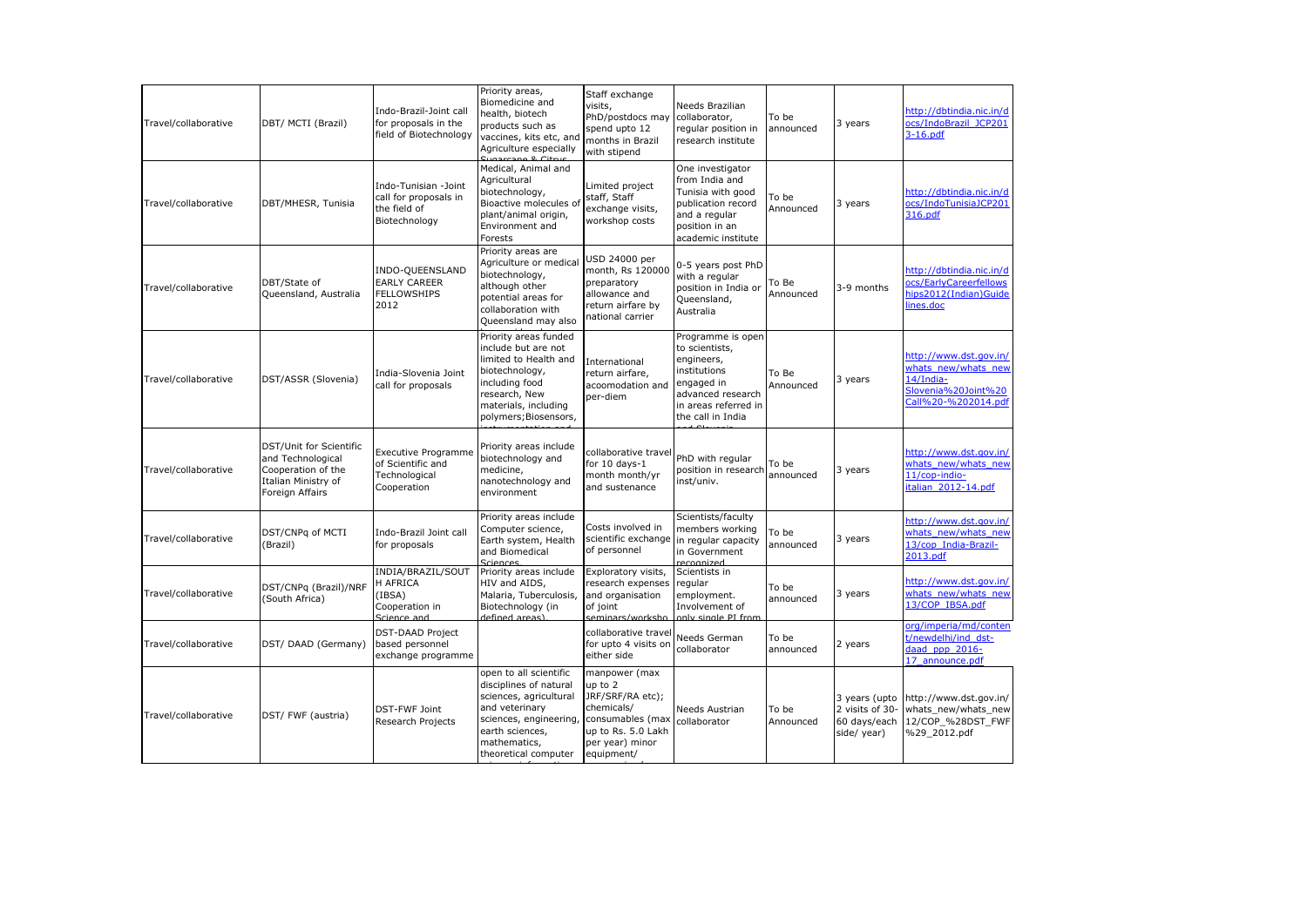| Travel/collaborative | DBT/ MCTI (Brazil)                                                                                           | Indo-Brazil-Joint call<br>for proposals in the<br>field of Biotechnology        | Priority areas,<br>Biomedicine and<br>health, biotech<br>products such as<br>vaccines, kits etc, and<br>Agriculture especially                                                    | Staff exchange<br>visits,<br>PhD/postdocs may<br>spend upto 12<br>months in Brazil<br>with stipend                                    | Needs Brazilian<br>collaborator,<br>regular position in<br>research institute                                                                     | To be<br>announced | 3 years                                                         | http://dbtindia.nic.in/d<br>ocs/IndoBrazil JCP201<br>$3-16.pdf$                                          |
|----------------------|--------------------------------------------------------------------------------------------------------------|---------------------------------------------------------------------------------|-----------------------------------------------------------------------------------------------------------------------------------------------------------------------------------|---------------------------------------------------------------------------------------------------------------------------------------|---------------------------------------------------------------------------------------------------------------------------------------------------|--------------------|-----------------------------------------------------------------|----------------------------------------------------------------------------------------------------------|
| Travel/collaborative | DBT/MHESR, Tunisia                                                                                           | Indo-Tunisian -Joint<br>call for proposals in<br>the field of<br>Biotechnology  | Medical, Animal and<br>Agricultural<br>biotechnology,<br>Bioactive molecules of<br>plant/animal origin,<br>Environment and<br>Forests                                             | Limited project<br>staff, Staff<br>exchange visits,<br>workshop costs                                                                 | One investigator<br>from India and<br>Tunisia with good<br>publication record<br>and a regular<br>position in an<br>academic institute            | To be<br>Announced | 3 years                                                         | http://dbtindia.nic.in/d<br>ocs/IndoTunisiaJCP201<br>316.pdf                                             |
| Travel/collaborative | DBT/State of<br>Queensland, Australia                                                                        | INDO-QUEENSLAND<br><b>EARLY CAREER</b><br><b>FELLOWSHIPS</b><br>2012            | Priority areas are<br>Agriculture or medical<br>biotechnology,<br>although other<br>potential areas for<br>collaboration with<br>Queensland may also                              | JSD 24000 per<br>month, Rs 120000<br>preparatory<br>allowance and<br>return airfare by<br>national carrier                            | 0-5 years post PhD<br>with a regular<br>position in India or<br>Queensland,<br>Australia                                                          | To Be<br>Announced | 3-9 months                                                      | http://dbtindia.nic.in/d<br>ocs/EarlyCareerfellows<br>hips2012(Indian)Guide<br>lines.doc                 |
| Travel/collaborative | DST/ASSR (Slovenia)                                                                                          | India-Slovenia Joint<br>call for proposals                                      | Priority areas funded<br>include but are not<br>limited to Health and<br>biotechnology,<br>including food<br>research, New<br>materials, including<br>polymers; Biosensors,       | International<br>return airfare,<br>acoomodation and<br>per-diem                                                                      | Programme is open<br>to scientists,<br>engineers,<br>institutions<br>engaged in<br>advanced research<br>in areas referred in<br>the call in India | To Be<br>Announced | 3 years                                                         | http://www.dst.gov.in/<br>whats new/whats new<br>14/India-<br>Slovenia%20Joint%20<br>Call%20-%202014.pdf |
| Travel/collaborative | DST/Unit for Scientific<br>and Technological<br>Cooperation of the<br>Italian Ministry of<br>Foreign Affairs | <b>Executive Programme</b><br>of Scientific and<br>Technological<br>Cooperation | Priority areas include<br>biotechnology and<br>medicine,<br>nanotechnology and<br>environment                                                                                     | collaborative trave<br>for $10$ days- $1$<br>month month/yr<br>and sustenance                                                         | PhD with regular<br>position in research<br>inst/univ.                                                                                            | To be<br>announced | 3 years                                                         | http://www.dst.gov.in/<br>whats new/whats new<br>11/cop-indio-<br>italian 2012-14.pdf                    |
| Travel/collaborative | DST/CNPq of MCTI<br>(Brazil)                                                                                 | Indo-Brazil Joint call<br>for proposals                                         | Priority areas include<br>Computer science,<br>Earth system, Health<br>and Biomedical                                                                                             | Costs involved in<br>scientific exchange<br>of personnel                                                                              | Scientists/faculty<br>members working<br>in regular capacity<br>in Government                                                                     | To be<br>announced | 3 years                                                         | http://www.dst.gov.in/<br>whats new/whats new<br>13/cop India-Brazil-<br>2013.pdf                        |
| Travel/collaborative | DST/CNPg (Brazil)/NRF<br>(South Africa)                                                                      | INDIA/BRAZIL/SOUT<br>H AFRICA<br>(IBSA)<br>Cooperation in<br>Science and        | Priority areas include<br>HIV and AIDS.<br>Malaria, Tuberculosis,<br>Biotechnology (in<br>defined areas)                                                                          | Exploratory visits,<br>research expenses<br>and organisation<br>of ioint<br>seminars/worksho                                          | Scientists in<br>regular<br>employment.<br>Involvement of<br>anly single PT from                                                                  | To be<br>announced | 3 years                                                         | http://www.dst.gov.in/<br>whats new/whats new<br>13/COP IBSA.pdf                                         |
| Travel/collaborative | DST/ DAAD (Germany)                                                                                          | <b>DST-DAAD Project</b><br>based personnel<br>exchange programme                |                                                                                                                                                                                   | collaborative travel<br>for upto 4 visits on<br>either side                                                                           | Needs German<br>collaborator                                                                                                                      | To be<br>announced | 2 years                                                         | org/imperia/md/conten<br>t/newdelhi/ind_dst-<br>daad ppp 2016-<br>17 announce.pdf                        |
| Travel/collaborative | DST/ FWF (austria)                                                                                           | DST-FWF Joint<br><b>Research Projects</b>                                       | open to all scientific<br>disciplines of natural<br>sciences, agricultural<br>and veterinary<br>sciences, engineering,<br>earth sciences,<br>mathematics,<br>theoretical computer | manpower (max<br>up to 2<br>JRF/SRF/RA etc);<br>chemicals/<br>consumables (max<br>up to Rs. 5.0 Lakh<br>per year) minor<br>equipment/ | Needs Austrian<br>collaborator                                                                                                                    | To be<br>Announced | 3 years (upto<br>2 visits of 30-<br>60 days/each<br>side/ year) | http://www.dst.gov.in/<br>whats new/whats new<br>12/COP %28DST FWF<br>%29_2012.pdf                       |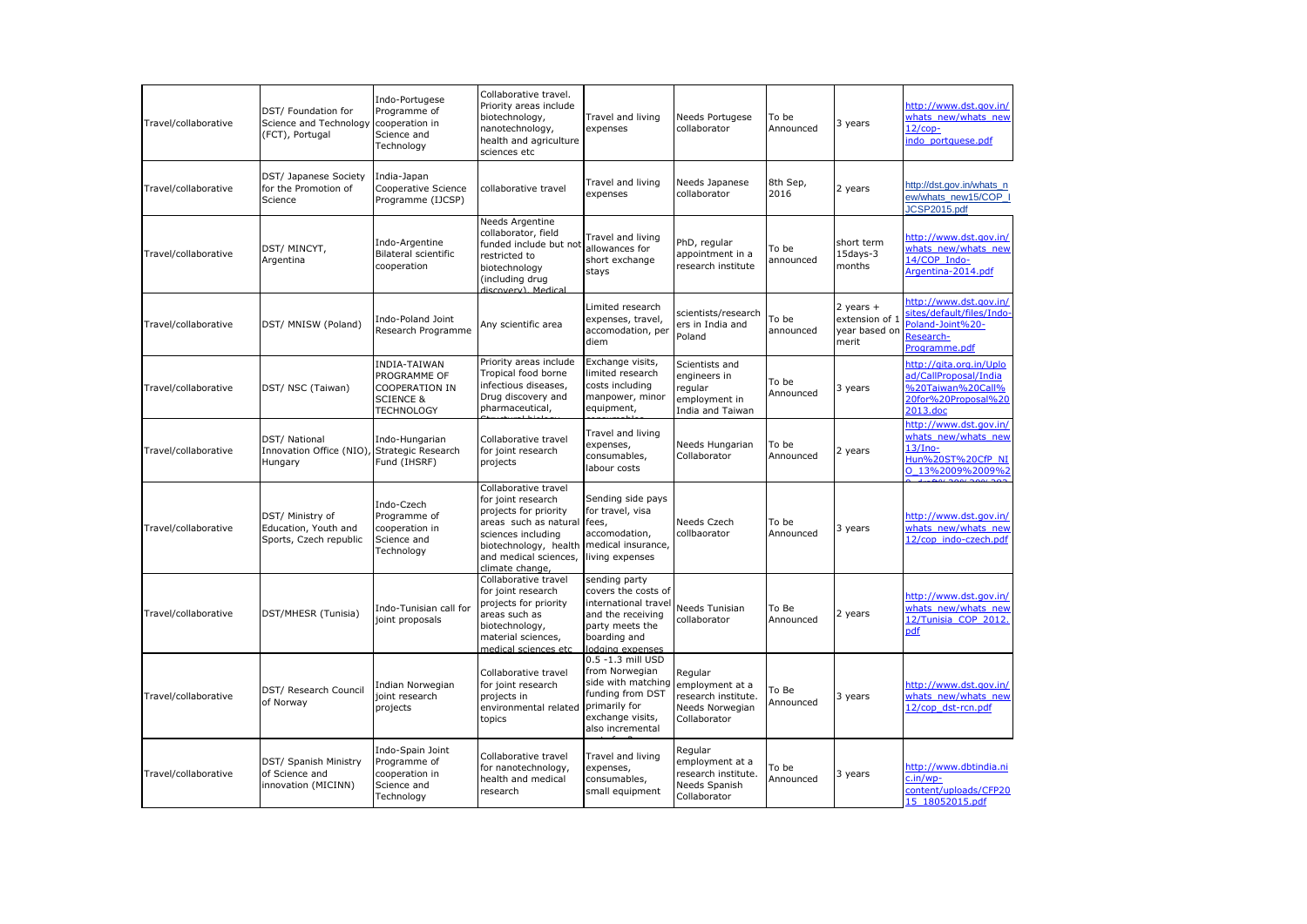| Travel/collaborative | DST/ Foundation for<br>Science and Technology<br>(FCT), Portugal               | Indo-Portugese<br>Programme of<br>cooperation in<br>Science and<br>Technology                      | Collaborative travel.<br>Priority areas include<br>biotechnology,<br>nanotechnology,<br>health and agriculture<br>sciences etc                                                          | Travel and living<br>expenses                                                                                                            | Needs Portugese<br>collaborator                                                      | To be<br>Announced | 3 years                                                   | http://www.dst.gov.in/<br>whats new/whats new<br>$12$ /cop-<br>indo portquese.pdf                        |
|----------------------|--------------------------------------------------------------------------------|----------------------------------------------------------------------------------------------------|-----------------------------------------------------------------------------------------------------------------------------------------------------------------------------------------|------------------------------------------------------------------------------------------------------------------------------------------|--------------------------------------------------------------------------------------|--------------------|-----------------------------------------------------------|----------------------------------------------------------------------------------------------------------|
| Travel/collaborative | DST/ Japanese Society<br>for the Promotion of<br>Science                       | India-Japan<br>Cooperative Science<br>Programme (IJCSP)                                            | collaborative travel                                                                                                                                                                    | Travel and living<br>expenses                                                                                                            | Needs Japanese<br>collaborator                                                       | 8th Sep<br>2016    | 2 years                                                   | http://dst.gov.in/whats_n<br>ew/whats new15/COP<br>JCSP2015.pdf                                          |
| Travel/collaborative | DST/ MINCYT,<br>Argentina                                                      | Indo-Argentine<br>Bilateral scientific<br>cooperation                                              | Needs Argentine<br>collaborator, field<br>funded include but not<br>restricted to<br>biotechnology<br>(including drug<br>discovery) Medical                                             | Travel and living<br>allowances for<br>short exchange<br>stays                                                                           | PhD, regular<br>appointment in a<br>research institute                               | To be<br>announced | short term<br>15days-3<br>months                          | http://www.dst.gov.in/<br>whats new/whats new<br>14/COP Indo-<br>Argentina-2014.pdf                      |
| Travel/collaborative | DST/ MNISW (Poland)                                                            | Indo-Poland Joint<br>Research Programme                                                            | Any scientific area                                                                                                                                                                     | Limited research<br>expenses, travel,<br>accomodation, per<br>diem                                                                       | scientists/research<br>ers in India and<br>Poland                                    | To be<br>announced | $2$ vears $+$<br>extension of 1<br>year based on<br>merit | http://www.dst.gov.in/<br>sites/default/files/Indo-<br>Poland-Joint%20-<br>Research-<br>Programme.pdf    |
| Travel/collaborative | DST/ NSC (Taiwan)                                                              | <b>INDIA-TAIWAN</b><br>PROGRAMME OF<br>COOPERATION IN<br><b>SCIENCE &amp;</b><br><b>TECHNOLOGY</b> | Priority areas include<br>Tropical food borne<br>infectious diseases,<br>Drug discovery and<br>pharmaceutical,                                                                          | Exchange visits,<br>limited research<br>costs including<br>manpower, minor<br>equipment,                                                 | Scientists and<br>engineers in<br>regular<br>employment in<br>India and Taiwan       | To be<br>Announced | 3 years                                                   | http://gita.org.in/Uplo<br>ad/CallProposal/India<br>%20Taiwan%20Call%<br>20for%20Proposal%20<br>2013.doc |
| Travel/collaborative | <b>DST/ National</b><br>Innovation Office (NIO), Strategic Research<br>Hungary | Indo-Hungarian<br>Fund (IHSRF)                                                                     | Collaborative travel<br>for joint research<br>projects                                                                                                                                  | Travel and living<br>expenses,<br>consumables,<br>labour costs                                                                           | Needs Hungarian<br>Collaborator                                                      | To be<br>Announced | 2 years                                                   | http://www.dst.gov.in/<br>whats new/whats new<br>$13/$ Ino-<br>Hun%20ST%20CfP NI<br>0 13%2009%2009%2     |
| Travel/collaborative | DST/ Ministry of<br>Education, Youth and<br>Sports, Czech republic             | Indo-Czech<br>Programme of<br>cooperation in<br>Science and<br>Technology                          | Collaborative travel<br>for joint research<br>projects for priority<br>areas such as natural<br>sciences including<br>biotechnology, health<br>and medical sciences,<br>climate change, | Sending side pays<br>for travel, visa<br>fees,<br>accomodation,<br>medical insurance,<br>living expenses                                 | Needs Czech<br>collbaorator                                                          | To be<br>Announced | 3 years                                                   | http://www.dst.gov.in/<br>whats new/whats new<br>12/cop indo-czech.pdf                                   |
| Travel/collaborative | DST/MHESR (Tunisia)                                                            | Indo-Tunisian call for<br>joint proposals                                                          | Collaborative travel<br>for joint research<br>projects for priority<br>areas such as<br>biotechnology,<br>material sciences,<br>medical sciences etc                                    | sending party<br>covers the costs of<br>international travel<br>and the receiving<br>party meets the<br>boarding and<br>lodging expenses | Needs Tunisian<br>collaborator                                                       | To Be<br>Announced | 2 years                                                   | http://www.dst.gov.in/<br>whats new/whats new<br>12/Tunisia COP 2012.<br>pdf                             |
| Travel/collaborative | DST/ Research Council<br>of Norway                                             | Indian Norwegian<br>joint research<br>projects                                                     | Collaborative travel<br>for joint research<br>projects in<br>environmental related<br>topics                                                                                            | 0.5 -1.3 mill USD<br>from Norwegian<br>side with matching<br>funding from DST<br>primarily for<br>exchange visits,<br>also incremental   | Regular<br>employment at a<br>research institute.<br>Needs Norwegian<br>Collaborator | To Be<br>Announced | 3 years                                                   | http://www.dst.gov.in/<br>whats new/whats new<br>12/cop dst-rcn.pdf                                      |
| Travel/collaborative | DST/ Spanish Ministry<br>of Science and<br>innovation (MICINN)                 | Indo-Spain Joint<br>Programme of<br>cooperation in<br>Science and<br>Technology                    | Collaborative travel<br>for nanotechnology,<br>health and medical<br>research                                                                                                           | Travel and living<br>expenses,<br>consumables,<br>small equipment                                                                        | Regular<br>employment at a<br>research institute.<br>Needs Spanish<br>Collaborator   | To be<br>Announced | 3 years                                                   | http://www.dbtindia.ni<br>c.in/wp-<br>content/uploads/CFP20<br>15 18052015.pdf                           |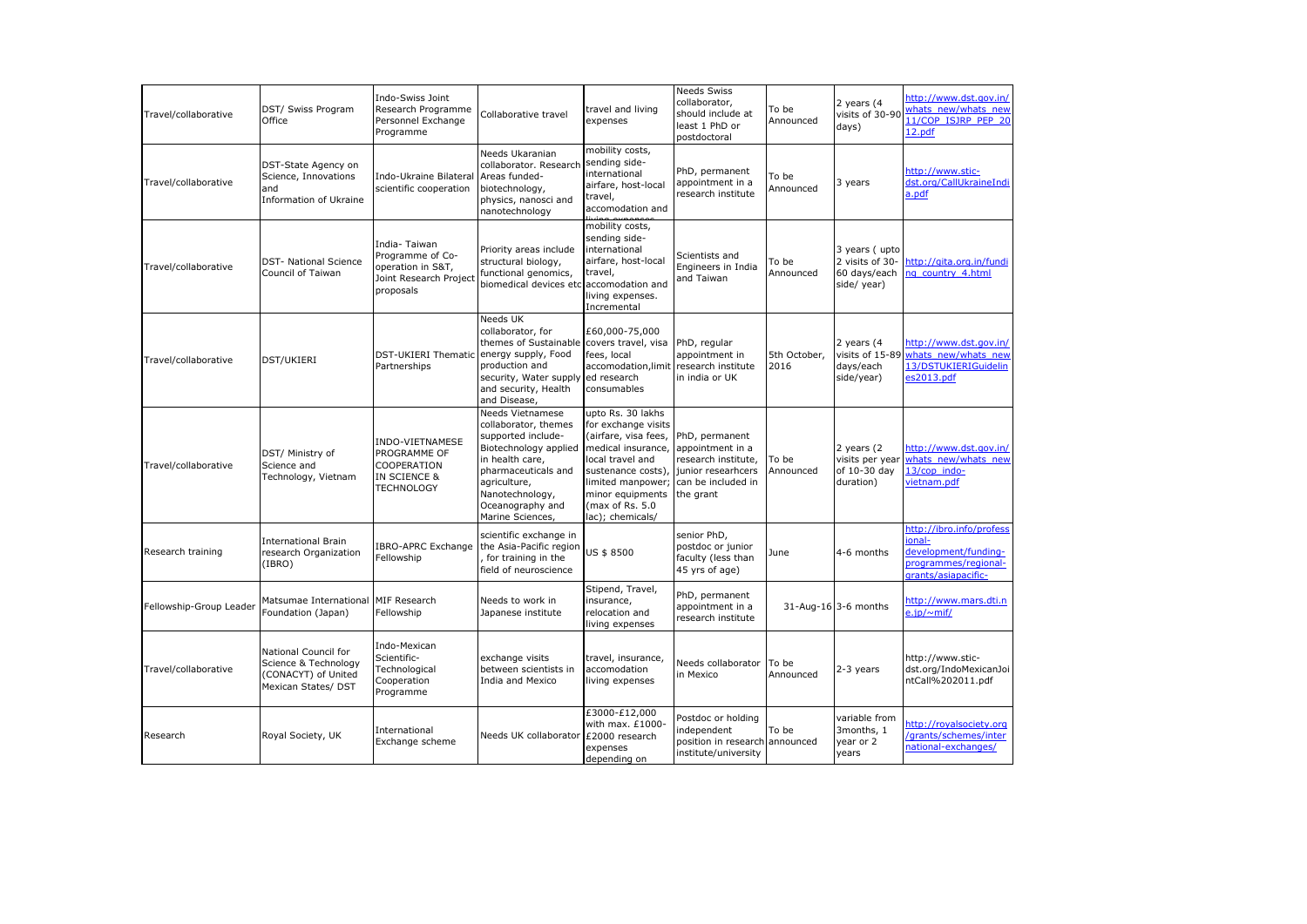| Travel/collaborative    | DST/ Swiss Program<br>Office                                                               | Indo-Swiss Joint<br>Research Programme<br>Personnel Exchange<br>Programme                     | Collaborative travel                                                                                                                                                                                         | travel and living<br>expenses                                                                                                                                                                                    | <b>Needs Swiss</b><br>collaborator,<br>should include at<br>least 1 PhD or<br>postdoctoral                         | To be<br>Announced   | 2 years $(4)$<br>visits of 30-90<br>days)                      | http://www.dst.gov.in/<br>whats new/whats new<br>11/COP ISJRP PEP 20<br>12.pdf                            |
|-------------------------|--------------------------------------------------------------------------------------------|-----------------------------------------------------------------------------------------------|--------------------------------------------------------------------------------------------------------------------------------------------------------------------------------------------------------------|------------------------------------------------------------------------------------------------------------------------------------------------------------------------------------------------------------------|--------------------------------------------------------------------------------------------------------------------|----------------------|----------------------------------------------------------------|-----------------------------------------------------------------------------------------------------------|
| Travel/collaborative    | DST-State Agency on<br>Science, Innovations<br>and<br>Information of Ukraine               | Indo-Ukraine Bilateral<br>scientific cooperation                                              | Needs Ukaranian<br>collaborator. Research<br>Areas funded-<br>biotechnology,<br>physics, nanosci and<br>nanotechnology                                                                                       | mobility costs,<br>sending side-<br>international<br>airfare, host-local<br>travel,<br>accomodation and                                                                                                          | PhD, permanent<br>appointment in a<br>research institute                                                           | To be<br>Announced   | 3 years                                                        | http://www.stic-<br>dst.org/CallUkraineIndi<br>a.pdf                                                      |
| Travel/collaborative    | <b>DST- National Science</b><br>Council of Taiwan                                          | India- Taiwan<br>Programme of Co-<br>operation in S&T,<br>Joint Research Project<br>proposals | Priority areas include<br>structural biology,<br>functional genomics,<br>biomedical devices etclaccomodation and                                                                                             | mobility costs,<br>sending side-<br>international<br>airfare, host-local<br>travel,<br>living expenses.<br>Incremental                                                                                           | Scientists and<br>Engineers in India<br>and Taiwan                                                                 | To be<br>Announced   | 3 years (upto<br>2 visits of 30-<br>60 days/each<br>side/year) | http://gita.org.in/fundi<br>ng country 4.html                                                             |
| Travel/collaborative    | DST/UKIERI                                                                                 | DST-UKIERI Thematic<br>Partnerships                                                           | Needs UK<br>collaborator, for<br>themes of Sustainable<br>energy supply, Food<br>production and<br>security, Water supply<br>and security, Health<br>and Disease,                                            | £60,000-75,000<br>covers travel, visa<br>fees, local<br>accomodation, limit<br>ed research<br>consumables                                                                                                        | PhD, regular<br>appointment in<br>research institute<br>in india or UK                                             | 5th October,<br>2016 | 2 years $(4)$<br>visits of 15-89<br>days/each<br>side/year)    | http://www.dst.gov.in/<br>whats new/whats new<br>13/DSTUKIERIGuidelin<br>es2013.pdf                       |
| Travel/collaborative    | DST/ Ministry of<br>Science and<br>Technology, Vietnam                                     | INDO-VIETNAMESE<br>PROGRAMME OF<br>COOPERATION<br>IN SCIENCE &<br><b>TECHNOLOGY</b>           | Needs Vietnamese<br>collaborator, themes<br>supported include-<br>Biotechnology applied<br>in health care,<br>pharmaceuticals and<br>agriculture,<br>Nanotechnology,<br>Oceanography and<br>Marine Sciences, | upto Rs. 30 lakhs<br>for exchange visits<br>(airfare, visa fees,<br>medical insurance,<br>local travel and<br>sustenance costs),<br>limited manpower;<br>minor equipments<br>(max of Rs. 5.0<br>lac); chemicals/ | PhD, permanent<br>appointment in a<br>research institute,<br>junior researhcers<br>can be included in<br>the grant | To be<br>Announced   | 2 years (2<br>visits per year<br>of 10-30 day<br>duration)     | http://www.dst.gov.in/<br>whats new/whats new<br>13/cop indo-<br>vietnam.pdf                              |
| Research training       | <b>International Brain</b><br>research Organization<br>(IBRO)                              | Fellowship                                                                                    | scientific exchange in<br>IBRO-APRC Exchange the Asia-Pacific region<br>for training in the<br>field of neuroscience                                                                                         | US \$8500                                                                                                                                                                                                        | senior PhD,<br>postdoc or junior<br>faculty (less than<br>45 yrs of age)                                           | June                 | 4-6 months                                                     | http://ibro.info/profess<br>ional-<br>development/funding-<br>programmes/regional-<br>qrants/asiapacific- |
| Fellowship-Group Leader | Matsumae International<br>Foundation (Japan)                                               | MIF Research<br>Fellowship                                                                    | Needs to work in<br>Japanese institute                                                                                                                                                                       | Stipend, Travel,<br>insurance,<br>relocation and<br>living expenses                                                                                                                                              | PhD, permanent<br>appointment in a<br>research institute                                                           |                      | 31-Aug-16 3-6 months                                           | http://www.mars.dti.n<br>$e$ , ip/ $\sim$ mif/                                                            |
| Travel/collaborative    | National Council for<br>Science & Technology<br>(CONACYT) of United<br>Mexican States/ DST | Indo-Mexican<br>Scientific-<br>Technological<br>Cooperation<br>Programme                      | exchange visits<br>between scientists in<br>India and Mexico                                                                                                                                                 | travel, insurance,<br>accomodation<br>living expenses                                                                                                                                                            | Needs collaborator<br>in Mexico                                                                                    | To be<br>Announced   | 2-3 years                                                      | http://www.stic-<br>dst.org/IndoMexicanJoi<br>ntCall%202011.pdf                                           |
| Research                | Royal Society, UK                                                                          | International<br>Exchange scheme                                                              | Needs UK collaborator                                                                                                                                                                                        | £3000-£12,000<br>with max. £1000-<br>£2000 research<br>expenses<br>depending on                                                                                                                                  | Postdoc or holding<br>independent<br>position in research<br>institute/university                                  | To be<br>announced   | variable from<br>3months, 1<br>year or 2<br>years              | http://royalsociety.org<br>/grants/schemes/inter<br>national-exchanges/                                   |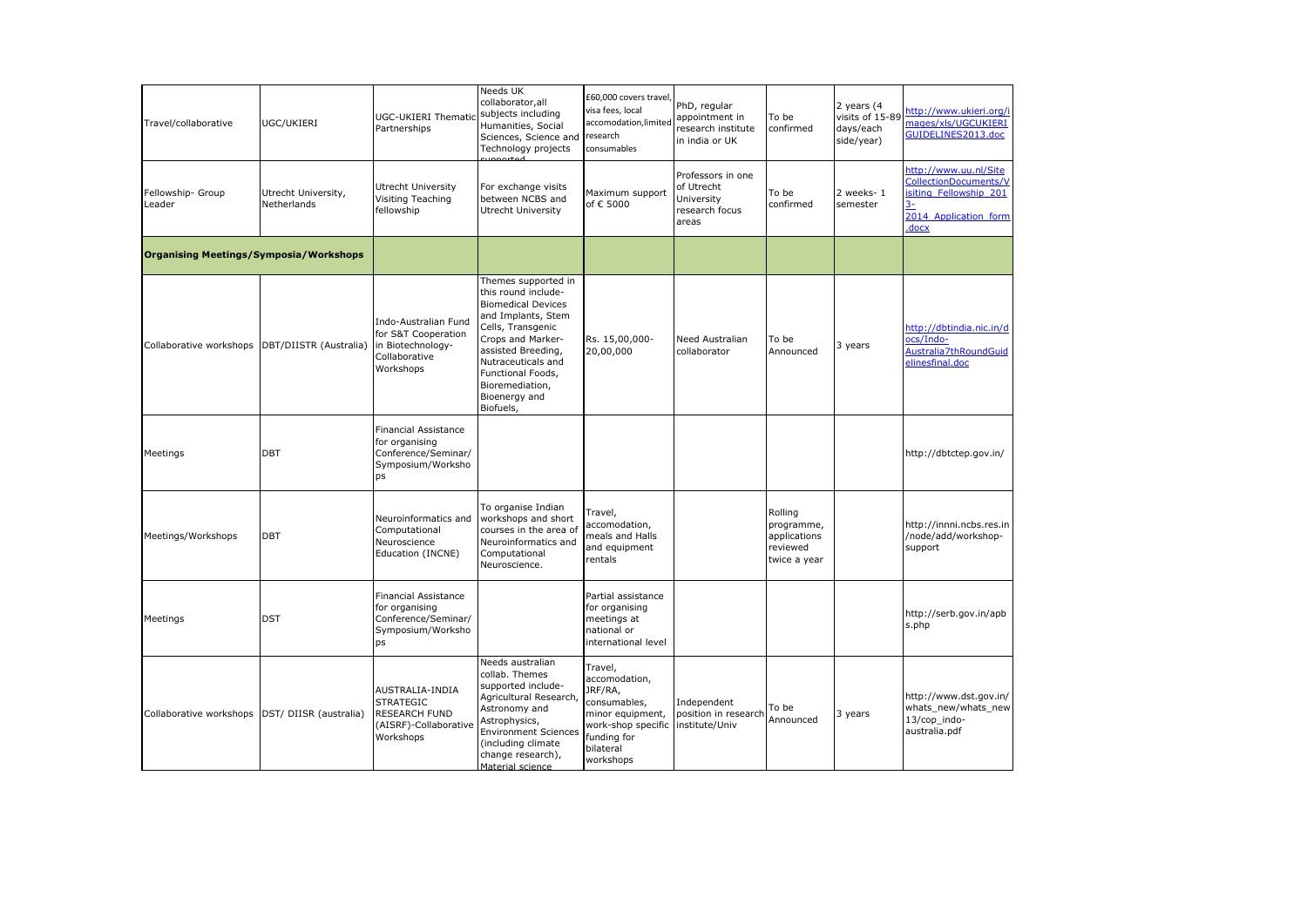| Travel/collaborative                          | UGC/UKIERI                         | UGC-UKIERI Thematic<br>Partnerships                                                                    | Needs UK<br>collaborator, all<br>subjects including<br>Humanities, Social<br>Sciences, Science and<br>Technology projects                                                                                                                                 | £60,000 covers travel,<br>visa fees, local<br>accomodation, limited<br>research<br>consumables                                         | PhD, regular<br>appointment in<br>research institute<br>in india or UK   | To be<br>confirmed                                                | 2 years (4<br>visits of 15-89<br>days/each<br>side/year) | http://www.ukieri.org/i<br>mages/xls/UGCUKIERI<br>GUIDELINES2013.doc                                       |
|-----------------------------------------------|------------------------------------|--------------------------------------------------------------------------------------------------------|-----------------------------------------------------------------------------------------------------------------------------------------------------------------------------------------------------------------------------------------------------------|----------------------------------------------------------------------------------------------------------------------------------------|--------------------------------------------------------------------------|-------------------------------------------------------------------|----------------------------------------------------------|------------------------------------------------------------------------------------------------------------|
| Fellowship- Group<br>Leader                   | Utrecht University,<br>Netherlands | Utrecht University<br>Visiting Teaching<br>fellowship                                                  | For exchange visits<br>between NCBS and<br>Utrecht University                                                                                                                                                                                             | Maximum support<br>of € 5000                                                                                                           | Professors in one<br>of Utrecht<br>University<br>research focus<br>areas | To be<br>confirmed                                                | 2 weeks-1<br>semester                                    | http://www.uu.nl/Site<br>CollectionDocuments/V<br>isiting Fellowship 201<br>2014_Application_form<br>.docx |
| <b>Organising Meetings/Symposia/Workshops</b> |                                    |                                                                                                        |                                                                                                                                                                                                                                                           |                                                                                                                                        |                                                                          |                                                                   |                                                          |                                                                                                            |
| Collaborative workshops                       | DBT/DIISTR (Australia)             | Indo-Australian Fund<br>for S&T Cooperation<br>in Biotechnology-<br>Collaborative<br>Workshops         | Themes supported in<br>this round include-<br><b>Biomedical Devices</b><br>and Implants, Stem<br>Cells, Transgenic<br>Crops and Marker-<br>assisted Breeding,<br>Nutraceuticals and<br>Functional Foods,<br>Bioremediation,<br>Bioenergy and<br>Biofuels, | Rs. 15,00,000-<br>20,00,000                                                                                                            | Need Australian<br>collaborator                                          | To be<br>Announced                                                | 3 years                                                  | http://dbtindia.nic.in/d<br>ocs/Indo-<br>Australia7thRoundGuid<br>elinesfinal.doc                          |
| Meetings                                      | <b>DBT</b>                         | <b>Financial Assistance</b><br>for organising<br>Conference/Seminar/<br>Symposium/Worksho<br>ps        |                                                                                                                                                                                                                                                           |                                                                                                                                        |                                                                          |                                                                   |                                                          | http://dbtctep.gov.in/                                                                                     |
| Meetings/Workshops                            | DBT                                | Neuroinformatics and<br>Computational<br>Neuroscience<br>Education (INCNE)                             | To organise Indian<br>workshops and short<br>courses in the area of<br>Neuroinformatics and<br>Computational<br>Neuroscience.                                                                                                                             | Travel,<br>accomodation,<br>meals and Halls<br>and equipment<br>rentals                                                                |                                                                          | Rolling<br>programme,<br>applications<br>reviewed<br>twice a year |                                                          | http://innni.ncbs.res.in<br>/node/add/workshop-<br>support                                                 |
| Meetings                                      | <b>DST</b>                         | <b>Financial Assistance</b><br>for organising<br>Conference/Seminar/<br>Symposium/Worksho<br><b>ps</b> |                                                                                                                                                                                                                                                           | Partial assistance<br>for organising<br>meetings at<br>national or<br>international level                                              |                                                                          |                                                                   |                                                          | http://serb.gov.in/apb<br>s.php                                                                            |
| Collaborative workshops                       | DST/ DIISR (australia)             | AUSTRALIA-INDIA<br><b>STRATEGIC</b><br>RESEARCH FUND<br>(AISRF)-Collaborative<br>Workshops             | Needs australian<br>collab. Themes<br>supported include-<br>Agricultural Research,<br>Astronomy and<br>Astrophysics,<br><b>Environment Sciences</b><br>(including climate<br>change research),<br>Material science                                        | Travel,<br>accomodation,<br>JRF/RA,<br>consumables,<br>minor equipment,<br>work-shop specific<br>funding for<br>bilateral<br>workshops | Independent<br>position in research<br>institute/Univ                    | To be<br>Announced                                                | 3 years                                                  | http://www.dst.gov.in/<br>whats new/whats new<br>13/cop indo-<br>australia.pdf                             |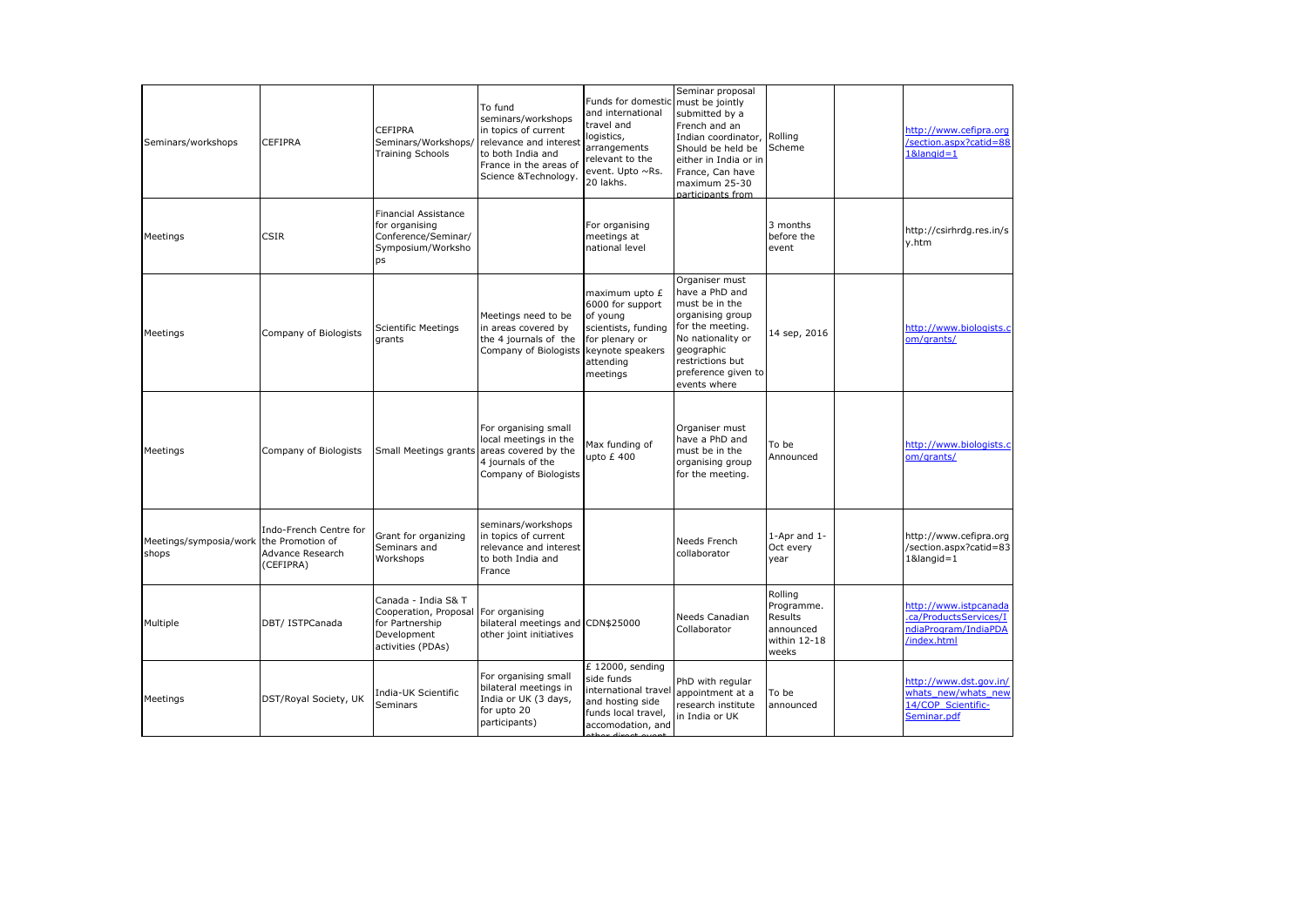| Seminars/workshops                               | <b>CEFIPRA</b>                                          | <b>CEFIPRA</b><br>Seminars/Workshops/<br><b>Training Schools</b>                                    | To fund<br>seminars/workshops<br>in topics of current<br>relevance and interest<br>to both India and<br>France in the areas of<br>Science &Technology. | Funds for domestic<br>and international<br>travel and<br>logistics,<br>arrangements<br>relevant to the<br>event. Upto ~Rs.<br>20 lakhs. | Seminar proposal<br>must be jointly<br>submitted by a<br>French and an<br>Indian coordinator,<br>Should be held be<br>either in India or in<br>France, Can have<br>maximum 25-30<br>participants from | Rolling<br>Scheme                                                      | http://www.cefipra.org<br>/section.aspx?catid=88<br>$18$ langid= $1$                   |
|--------------------------------------------------|---------------------------------------------------------|-----------------------------------------------------------------------------------------------------|--------------------------------------------------------------------------------------------------------------------------------------------------------|-----------------------------------------------------------------------------------------------------------------------------------------|-------------------------------------------------------------------------------------------------------------------------------------------------------------------------------------------------------|------------------------------------------------------------------------|----------------------------------------------------------------------------------------|
| Meetings                                         | <b>CSIR</b>                                             | <b>Financial Assistance</b><br>for organising<br>Conference/Seminar/<br>Symposium/Worksho<br>ps     |                                                                                                                                                        | For organising<br>meetings at<br>national level                                                                                         |                                                                                                                                                                                                       | 3 months<br>before the<br>event                                        | http://csirhrdg.res.in/s<br>y.htm                                                      |
| Meetings                                         | Company of Biologists                                   | <b>Scientific Meetings</b><br>grants                                                                | Meetings need to be<br>in areas covered by<br>the 4 journals of the<br>Company of Biologists                                                           | maximum upto £<br>6000 for support<br>of young<br>scientists, funding<br>for plenary or<br>keynote speakers<br>attending<br>meetings    | Organiser must<br>have a PhD and<br>must be in the<br>organising group<br>for the meeting.<br>No nationality or<br>geographic<br>restrictions but<br>preference given to<br>events where              | 14 sep, 2016                                                           | http://www.biologists.c<br>om/grants/                                                  |
| Meetings                                         | Company of Biologists                                   | Small Meetings grants areas covered by the                                                          | For organising small<br>local meetings in the<br>4 journals of the<br>Company of Biologists                                                            | Max funding of<br>upto £400                                                                                                             | Organiser must<br>have a PhD and<br>must be in the<br>organising group<br>for the meeting.                                                                                                            | To be<br>Announced                                                     | http://www.biologists.c<br>om/grants/                                                  |
| Meetings/symposia/work the Promotion of<br>shops | Indo-French Centre for<br>Advance Research<br>(CEFIPRA) | Grant for organizing<br>Seminars and<br>Workshops                                                   | seminars/workshops<br>in topics of current<br>relevance and interest<br>to both India and<br>France                                                    |                                                                                                                                         | Needs French<br>collaborator                                                                                                                                                                          | 1-Apr and 1-<br>Oct every<br>year                                      | http://www.cefipra.org<br>/section.aspx?catid=83<br>$18$ langid= $1$                   |
| Multiple                                         | DBT/ ISTPCanada                                         | Canada - India S& T<br>Cooperation, Proposal<br>for Partnership<br>Development<br>activities (PDAs) | For organising<br>bilateral meetings and CDN\$25000<br>other joint initiatives                                                                         |                                                                                                                                         | Needs Canadian<br>Collaborator                                                                                                                                                                        | Rolling<br>Programme.<br>Results<br>announced<br>within 12-18<br>weeks | http://www.istpcanada<br>.ca/ProductsServices/I<br>ndiaProgram/IndiaPDA<br>/index.html |
| Meetings                                         | DST/Royal Society, UK                                   | India-UK Scientific<br>Seminars                                                                     | For organising small<br>bilateral meetings in<br>India or UK (3 days,<br>for upto 20<br>participants)                                                  | £ 12000, sending<br>side funds<br>international travel<br>and hosting side<br>funds local travel,<br>accomodation, and                  | PhD with regular<br>appointment at a<br>research institute<br>in India or UK                                                                                                                          | To be<br>announced                                                     | http://www.dst.gov.in/<br>whats new/whats new<br>14/COP Scientific-<br>Seminar.pdf     |
|                                                  |                                                         |                                                                                                     |                                                                                                                                                        |                                                                                                                                         |                                                                                                                                                                                                       |                                                                        |                                                                                        |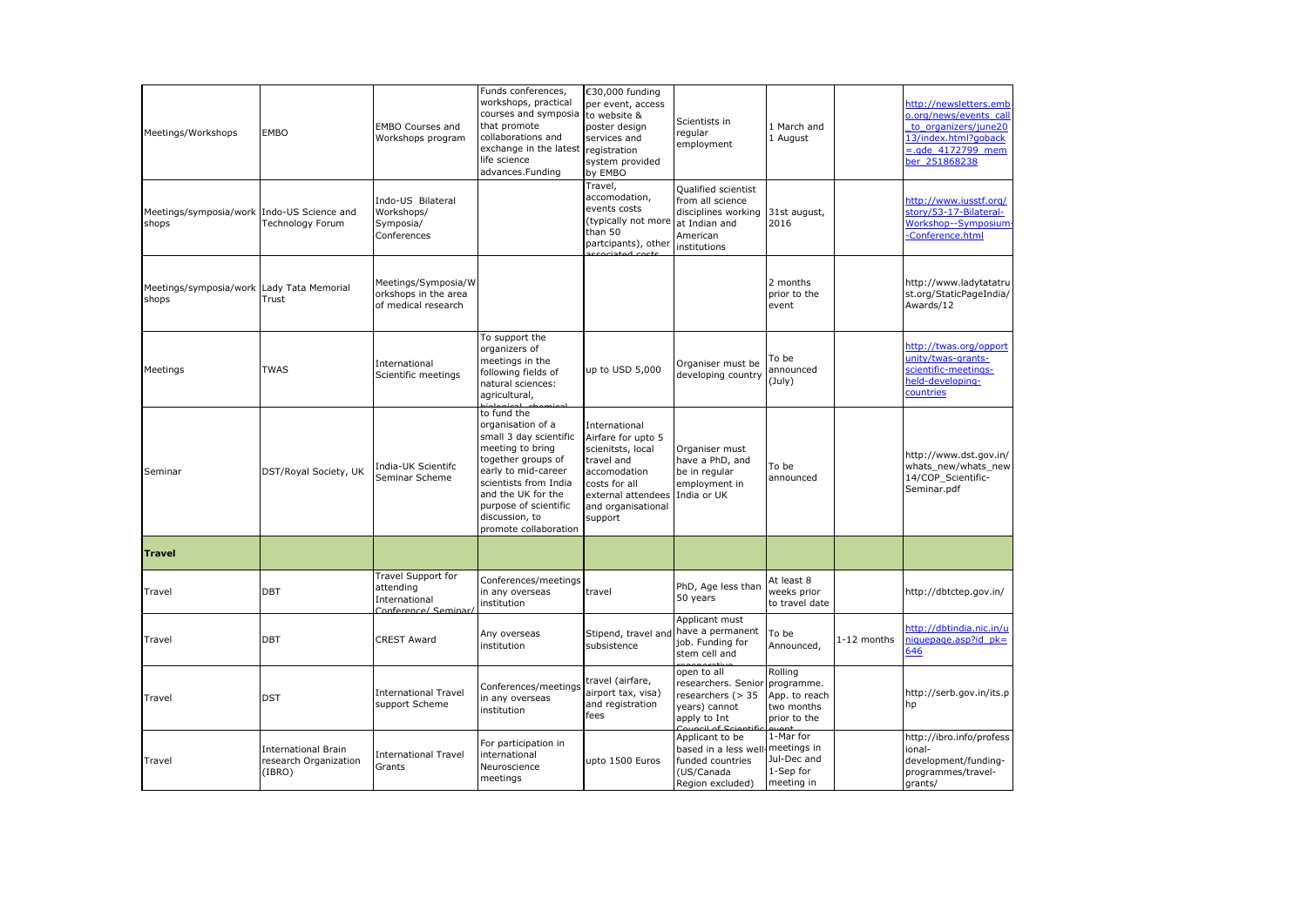| Meetings/Workshops                                  | <b>EMBO</b>                                                   | <b>EMBO Courses and</b><br>Workshops program                            | Funds conferences,<br>workshops, practical<br>courses and symposia<br>that promote<br>collaborations and<br>exchange in the latest registration<br>life science<br>advances.Funding                                                            | €30,000 funding<br>per event, access<br>to website &<br>poster design<br>services and<br>system provided<br>by EMBO                                            | Scientists in<br>regular<br>employment                                                                      | 1 March and<br>1 August                                              |             | http://newsletters.emb<br>o.org/news/events call<br>to organizers/june20<br>13/index.html?goback<br>$= . qde 4172799$ mem<br>ber 251868238 |
|-----------------------------------------------------|---------------------------------------------------------------|-------------------------------------------------------------------------|------------------------------------------------------------------------------------------------------------------------------------------------------------------------------------------------------------------------------------------------|----------------------------------------------------------------------------------------------------------------------------------------------------------------|-------------------------------------------------------------------------------------------------------------|----------------------------------------------------------------------|-------------|--------------------------------------------------------------------------------------------------------------------------------------------|
| Meetings/symposia/work Indo-US Science and<br>shops | Technology Forum                                              | Indo-US Bilateral<br>Workshops/<br>Symposia/<br>Conferences             |                                                                                                                                                                                                                                                | Travel,<br>accomodation,<br>events costs<br>(typically not more<br>than 50<br>partcipants), other                                                              | Qualified scientist<br>from all science<br>disciplines working<br>at Indian and<br>American<br>institutions | 31st august,<br>2016                                                 |             | http://www.iusstf.org/<br>story/53-17-Bilateral-<br>Workshop--Symposium-<br>Conference.html                                                |
| Meetings/symposia/work Lady Tata Memorial<br>shops  | Trust                                                         | Meetings/Symposia/W<br>orkshops in the area<br>of medical research      |                                                                                                                                                                                                                                                |                                                                                                                                                                |                                                                                                             | 2 months<br>prior to the<br>event                                    |             | http://www.ladytatatru<br>st.org/StaticPageIndia/<br>Awards/12                                                                             |
| Meetings                                            | <b>TWAS</b>                                                   | International<br>Scientific meetings                                    | To support the<br>organizers of<br>meetings in the<br>following fields of<br>natural sciences:<br>agricultural,                                                                                                                                | up to USD 5,000                                                                                                                                                | Organiser must be<br>developing country                                                                     | To be<br>announced<br>$(\text{July})$                                |             | http://twas.org/opport<br>unity/twas-grants-<br>scientific-meetings-<br>held-developing-<br>countries                                      |
| Seminar                                             | DST/Royal Society, UK                                         | India-UK Scientifc<br>Seminar Scheme                                    | to fund the<br>organisation of a<br>small 3 day scientific<br>meeting to bring<br>together groups of<br>early to mid-career<br>scientists from India<br>and the UK for the<br>purpose of scientific<br>discussion, to<br>promote collaboration | International<br>Airfare for upto 5<br>scienitsts, local<br>travel and<br>accomodation<br>costs for all<br>external attendees<br>and organisational<br>support | Organiser must<br>have a PhD, and<br>be in regular<br>employment in<br>India or UK                          | To be<br>announced                                                   |             | http://www.dst.gov.in/<br>whats new/whats new<br>14/COP Scientific-<br>Seminar.pdf                                                         |
| <b>Travel</b>                                       |                                                               |                                                                         |                                                                                                                                                                                                                                                |                                                                                                                                                                |                                                                                                             |                                                                      |             |                                                                                                                                            |
| Travel                                              | DBT                                                           | Travel Support for<br>attending<br>International<br>Conference/ Seminar | Conferences/meetings<br>in any overseas<br>institution                                                                                                                                                                                         | travel                                                                                                                                                         | PhD, Age less than<br>50 years                                                                              | At least 8<br>weeks prior<br>to travel date                          |             | http://dbtctep.gov.in/                                                                                                                     |
| Travel                                              | <b>DBT</b>                                                    | <b>CREST Award</b>                                                      | Any overseas<br>institution                                                                                                                                                                                                                    | Stipend, travel and<br>subsistence                                                                                                                             | Applicant must<br>have a permanent<br>job. Funding for<br>stem cell and                                     | To be<br>Announced,                                                  | 1-12 months | http://dbtindia.nic.in/u<br>niquepage.asp?id pk=<br>646                                                                                    |
| Travel                                              | <b>DST</b>                                                    | <b>International Travel</b><br>support Scheme                           | Conferences/meetings<br>in any overseas<br>institution                                                                                                                                                                                         | travel (airfare,<br>airport tax, visa)<br>and registration<br>fees                                                                                             | open to all<br>researchers. Senior<br>researchers (> 35<br>years) cannot<br>apply to Int                    | Rolling<br>programme.<br>App. to reach<br>two months<br>prior to the |             | http://serb.gov.in/its.p<br>hp                                                                                                             |
| Travel                                              | <b>International Brain</b><br>research Organization<br>(IBRO) | <b>International Travel</b><br>Grants                                   | For participation in<br>international<br>Neuroscience<br>meetings                                                                                                                                                                              | upto 1500 Euros                                                                                                                                                | Applicant to be<br>based in a less wel<br>funded countries<br>(US/Canada<br>Region excluded)                | 1-Mar for<br>meetings in<br>Jul-Dec and<br>1-Sep for<br>meeting in   |             | http://ibro.info/profess<br>ional-<br>development/funding-<br>programmes/travel-<br>grants/                                                |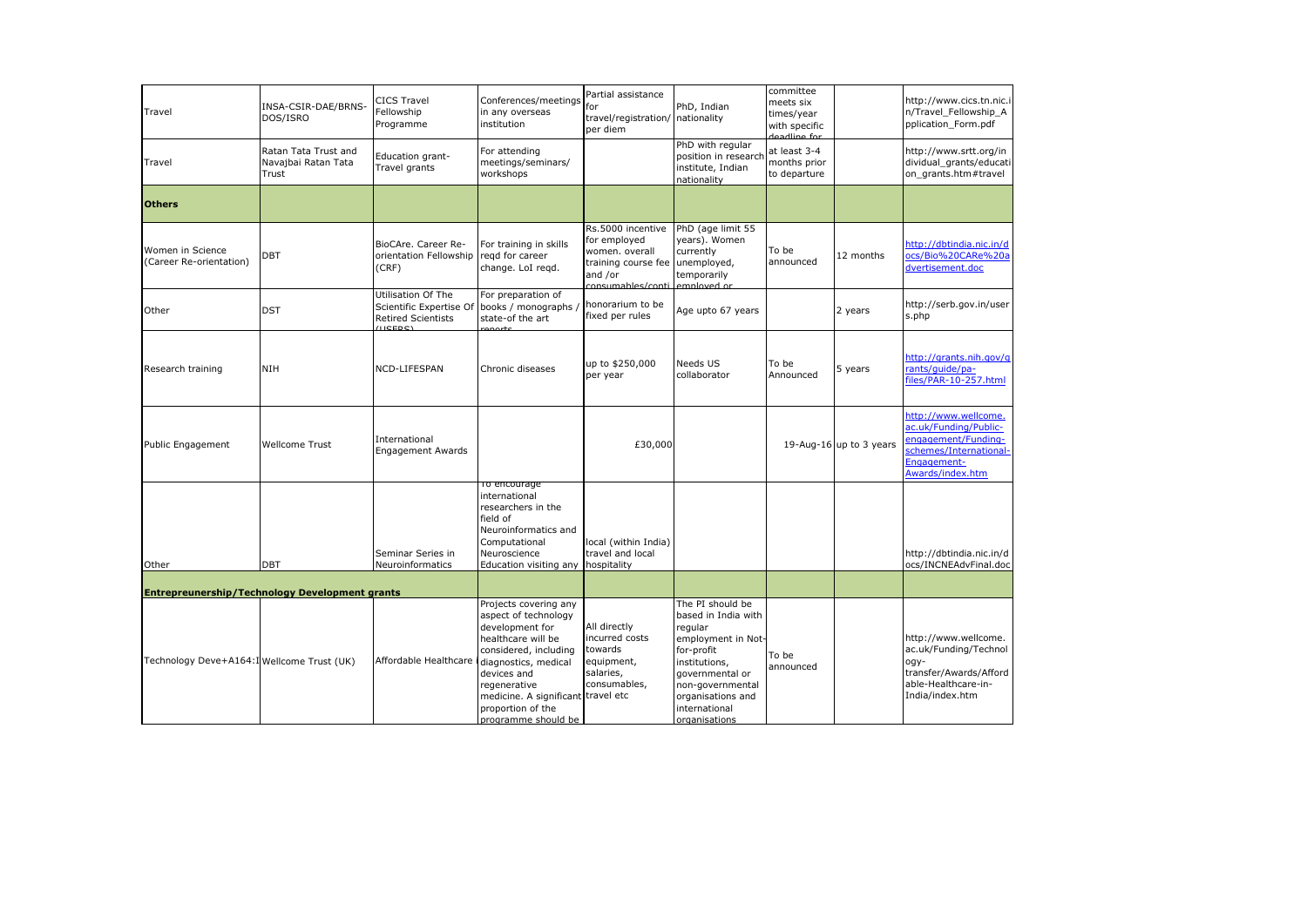| Travel                                      | INSA-CSIR-DAE/BRNS-<br>DOS/ISRO                       | <b>CICS Travel</b><br>Fellowship<br>Programme                                            | Conferences/meetings<br>in any overseas<br>institution                                                                                                                                                                                                   | Partial assistance<br>for<br>travel/registration/<br>per diem                                              | PhD, Indian<br>nationality                                                                                                                                                                            | committee<br>meets six<br>times/year<br>with specific<br>deadline for |                         | http://www.cics.tn.nic.i<br>n/Travel Fellowship A<br>pplication_Form.pdf                                                          |
|---------------------------------------------|-------------------------------------------------------|------------------------------------------------------------------------------------------|----------------------------------------------------------------------------------------------------------------------------------------------------------------------------------------------------------------------------------------------------------|------------------------------------------------------------------------------------------------------------|-------------------------------------------------------------------------------------------------------------------------------------------------------------------------------------------------------|-----------------------------------------------------------------------|-------------------------|-----------------------------------------------------------------------------------------------------------------------------------|
| Travel                                      | Ratan Tata Trust and<br>Navajbai Ratan Tata<br>Trust  | Education grant-<br>Travel grants                                                        | For attending<br>meetings/seminars/<br>workshops                                                                                                                                                                                                         |                                                                                                            | PhD with regular<br>position in researcl<br>institute, Indian<br>nationality                                                                                                                          | at least 3-4<br>months prior<br>to departure                          |                         | http://www.srtt.org/in<br>dividual_grants/educati<br>on grants.htm#travel                                                         |
| <b>Others</b>                               |                                                       |                                                                                          |                                                                                                                                                                                                                                                          |                                                                                                            |                                                                                                                                                                                                       |                                                                       |                         |                                                                                                                                   |
| Women in Science<br>(Career Re-orientation) | DBT                                                   | BioCAre. Career Re-<br>orientation Fellowship<br>(CRF)                                   | For training in skills<br>regd for career<br>change. LoI regd.                                                                                                                                                                                           | Rs.5000 incentive<br>for employed<br>women. overall<br>training course fee<br>and /or<br>consumables/conti | PhD (age limit 55<br>years). Women<br>currently<br>unemployed,<br>temporarily<br>employed or                                                                                                          | To be<br>announced                                                    | 12 months               | http://dbtindia.nic.in/d<br>ocs/Bio%20CARe%20a<br>dvertisement.doc                                                                |
| Other                                       | <b>DST</b>                                            | Utilisation Of The<br>Scientific Expertise Of<br><b>Retired Scientists</b><br>$(1)$ CEDC | For preparation of<br>books / monographs /<br>state-of the art                                                                                                                                                                                           | honorarium to be<br>fixed per rules                                                                        | Age upto 67 years                                                                                                                                                                                     |                                                                       | 2 years                 | http://serb.gov.in/user<br>s.php                                                                                                  |
| Research training                           | <b>NIH</b>                                            | NCD-LIFESPAN                                                                             | Chronic diseases                                                                                                                                                                                                                                         | up to \$250,000<br>per year                                                                                | Needs US<br>collaborator                                                                                                                                                                              | To be<br>Announced                                                    | 5 years                 | http://grants.nih.gov/g<br>rants/guide/pa-<br>files/PAR-10-257.html                                                               |
| Public Engagement                           | Wellcome Trust                                        | International<br><b>Engagement Awards</b>                                                |                                                                                                                                                                                                                                                          | £30,000                                                                                                    |                                                                                                                                                                                                       |                                                                       | 19-Aug-16 up to 3 years | http://www.wellcome.<br>ac.uk/Funding/Public-<br>engagement/Funding-<br>schemes/International-<br>Engagement-<br>Awards/index.htm |
| Other                                       | <b>DBT</b>                                            | Seminar Series in<br>Neuroinformatics                                                    | To encourage<br>international<br>researchers in the<br>field of<br>Neuroinformatics and<br>Computational<br>Neuroscience<br>Education visiting any                                                                                                       | local (within India)<br>travel and local<br>hospitality                                                    |                                                                                                                                                                                                       |                                                                       |                         | http://dbtindia.nic.in/d<br>ocs/INCNEAdvFinal.doc                                                                                 |
|                                             | <b>Entrepreunership/Technology Development grants</b> |                                                                                          |                                                                                                                                                                                                                                                          |                                                                                                            |                                                                                                                                                                                                       |                                                                       |                         |                                                                                                                                   |
| Technology Deve+A164:I Wellcome Trust (UK)  |                                                       | Affordable Healthcare i                                                                  | Projects covering any<br>aspect of technology<br>development for<br>healthcare will be<br>considered, including<br>diagnostics, medical<br>devices and<br>regenerative<br>medicine. A significant travel etc<br>proportion of the<br>programme should be | All directly<br>incurred costs<br>towards<br>equipment,<br>salaries,<br>consumables,                       | The PI should be<br>based in India with<br>regular<br>employment in Not-<br>for-profit<br>institutions,<br>governmental or<br>non-governmental<br>organisations and<br>international<br>organisations | To be<br>announced                                                    |                         | http://www.wellcome.<br>ac.uk/Funding/Technol<br>ogy-<br>transfer/Awards/Afford<br>able-Healthcare-in-<br>India/index.htm         |